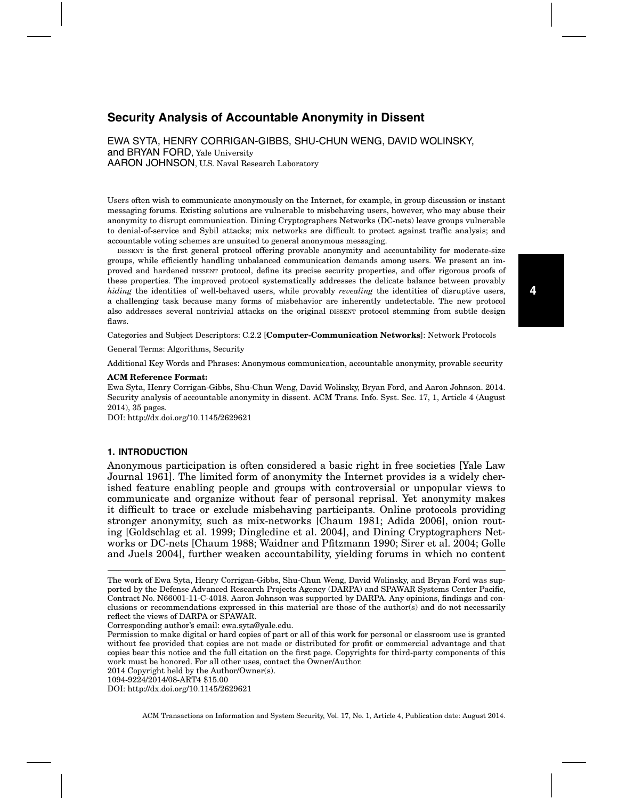# **Security Analysis of Accountable Anonymity in Dissent**

EWA SYTA, HENRY CORRIGAN-GIBBS, SHU-CHUN WENG, DAVID WOLINSKY, and BRYAN FORD, Yale University AARON JOHNSON, U.S. Naval Research Laboratory

Users often wish to communicate anonymously on the Internet, for example, in group discussion or instant messaging forums. Existing solutions are vulnerable to misbehaving users, however, who may abuse their anonymity to disrupt communication. Dining Cryptographers Networks (DC-nets) leave groups vulnerable to denial-of-service and Sybil attacks; mix networks are difficult to protect against traffic analysis; and accountable voting schemes are unsuited to general anonymous messaging.

DISSENT is the first general protocol offering provable anonymity and accountability for moderate-size groups, while efficiently handling unbalanced communication demands among users. We present an improved and hardened DISSENT protocol, define its precise security properties, and offer rigorous proofs of these properties. The improved protocol systematically addresses the delicate balance between provably *hiding* the identities of well-behaved users, while provably *revealing* the identities of disruptive users, a challenging task because many forms of misbehavior are inherently undetectable. The new protocol also addresses several nontrivial attacks on the original DISSENT protocol stemming from subtle design flaws.

Categories and Subject Descriptors: C.2.2 [**Computer-Communication Networks**]: Network Protocols

General Terms: Algorithms, Security

Additional Key Words and Phrases: Anonymous communication, accountable anonymity, provable security

#### **ACM Reference Format:**

Ewa Syta, Henry Corrigan-Gibbs, Shu-Chun Weng, David Wolinsky, Bryan Ford, and Aaron Johnson. 2014. Security analysis of accountable anonymity in dissent. ACM Trans. Info. Syst. Sec. 17, 1, Article 4 (August 2014), 35 pages.

DOI: http://dx.doi.org/10.1145/2629621

# **1. INTRODUCTION**

Anonymous participation is often considered a basic right in free societies [Yale Law Journal 1961]. The limited form of anonymity the Internet provides is a widely cherished feature enabling people and groups with controversial or unpopular views to communicate and organize without fear of personal reprisal. Yet anonymity makes it difficult to trace or exclude misbehaving participants. Online protocols providing stronger anonymity, such as mix-networks [Chaum 1981; Adida 2006], onion routing [Goldschlag et al. 1999; Dingledine et al. 2004], and Dining Cryptographers Networks or DC-nets [Chaum 1988; Waidner and Pfitzmann 1990; Sirer et al. 2004; Golle and Juels 2004], further weaken accountability, yielding forums in which no content

Corresponding author's email: ewa.syta@yale.edu.

2014 Copyright held by the Author/Owner(s).

DOI: http://dx.doi.org/10.1145/2629621

The work of Ewa Syta, Henry Corrigan-Gibbs, Shu-Chun Weng, David Wolinsky, and Bryan Ford was supported by the Defense Advanced Research Projects Agency (DARPA) and SPAWAR Systems Center Pacific, Contract No. N66001-11-C-4018. Aaron Johnson was supported by DARPA. Any opinions, findings and conclusions or recommendations expressed in this material are those of the author(s) and do not necessarily reflect the views of DARPA or SPAWAR.

Permission to make digital or hard copies of part or all of this work for personal or classroom use is granted without fee provided that copies are not made or distributed for profit or commercial advantage and that copies bear this notice and the full citation on the first page. Copyrights for third-party components of this work must be honored. For all other uses, contact the Owner/Author.

<sup>1094-9224/2014/08-</sup>ART4 \$15.00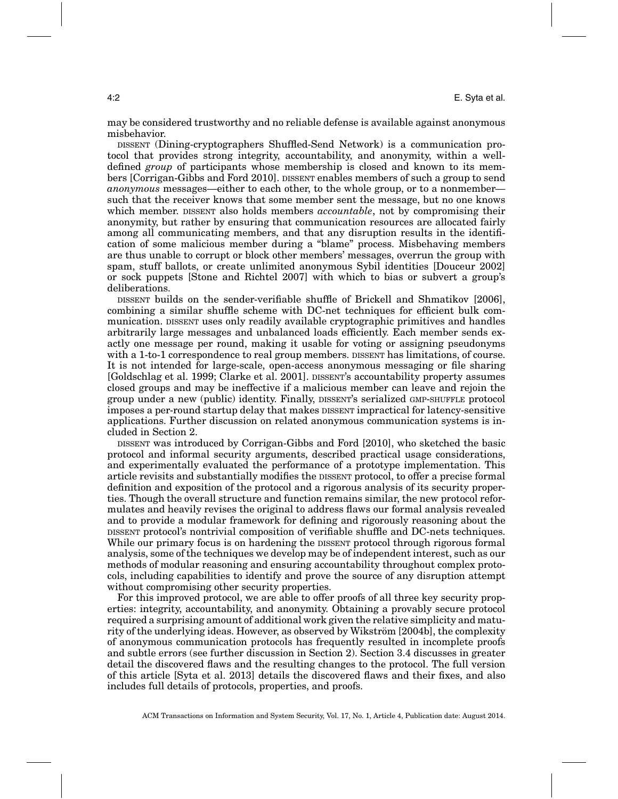may be considered trustworthy and no reliable defense is available against anonymous misbehavior.

DISSENT (Dining-cryptographers Shuffled-Send Network) is a communication protocol that provides strong integrity, accountability, and anonymity, within a welldefined *group* of participants whose membership is closed and known to its members [Corrigan-Gibbs and Ford 2010]. DISSENT enables members of such a group to send *anonymous* messages—either to each other, to the whole group, or to a nonmember such that the receiver knows that some member sent the message, but no one knows which member. DISSENT also holds members *accountable*, not by compromising their anonymity, but rather by ensuring that communication resources are allocated fairly among all communicating members, and that any disruption results in the identification of some malicious member during a "blame" process. Misbehaving members are thus unable to corrupt or block other members' messages, overrun the group with spam, stuff ballots, or create unlimited anonymous Sybil identities [Douceur 2002] or sock puppets [Stone and Richtel 2007] with which to bias or subvert a group's deliberations.

DISSENT builds on the sender-verifiable shuffle of Brickell and Shmatikov [2006], combining a similar shuffle scheme with DC-net techniques for efficient bulk communication. DISSENT uses only readily available cryptographic primitives and handles arbitrarily large messages and unbalanced loads efficiently. Each member sends exactly one message per round, making it usable for voting or assigning pseudonyms with a 1-to-1 correspondence to real group members. DISSENT has limitations, of course. It is not intended for large-scale, open-access anonymous messaging or file sharing [Goldschlag et al. 1999; Clarke et al. 2001]. DISSENT's accountability property assumes closed groups and may be ineffective if a malicious member can leave and rejoin the group under a new (public) identity. Finally, DISSENT's serialized GMP-SHUFFLE protocol imposes a per-round startup delay that makes DISSENT impractical for latency-sensitive applications. Further discussion on related anonymous communication systems is included in Section 2.

DISSENT was introduced by Corrigan-Gibbs and Ford [2010], who sketched the basic protocol and informal security arguments, described practical usage considerations, and experimentally evaluated the performance of a prototype implementation. This article revisits and substantially modifies the DISSENT protocol, to offer a precise formal definition and exposition of the protocol and a rigorous analysis of its security properties. Though the overall structure and function remains similar, the new protocol reformulates and heavily revises the original to address flaws our formal analysis revealed and to provide a modular framework for defining and rigorously reasoning about the DISSENT protocol's nontrivial composition of verifiable shuffle and DC-nets techniques. While our primary focus is on hardening the DISSENT protocol through rigorous formal analysis, some of the techniques we develop may be of independent interest, such as our methods of modular reasoning and ensuring accountability throughout complex protocols, including capabilities to identify and prove the source of any disruption attempt without compromising other security properties.

For this improved protocol, we are able to offer proofs of all three key security properties: integrity, accountability, and anonymity. Obtaining a provably secure protocol required a surprising amount of additional work given the relative simplicity and maturity of the underlying ideas. However, as observed by Wikström [2004b], the complexity of anonymous communication protocols has frequently resulted in incomplete proofs and subtle errors (see further discussion in Section 2). Section 3.4 discusses in greater detail the discovered flaws and the resulting changes to the protocol. The full version of this article [Syta et al. 2013] details the discovered flaws and their fixes, and also includes full details of protocols, properties, and proofs.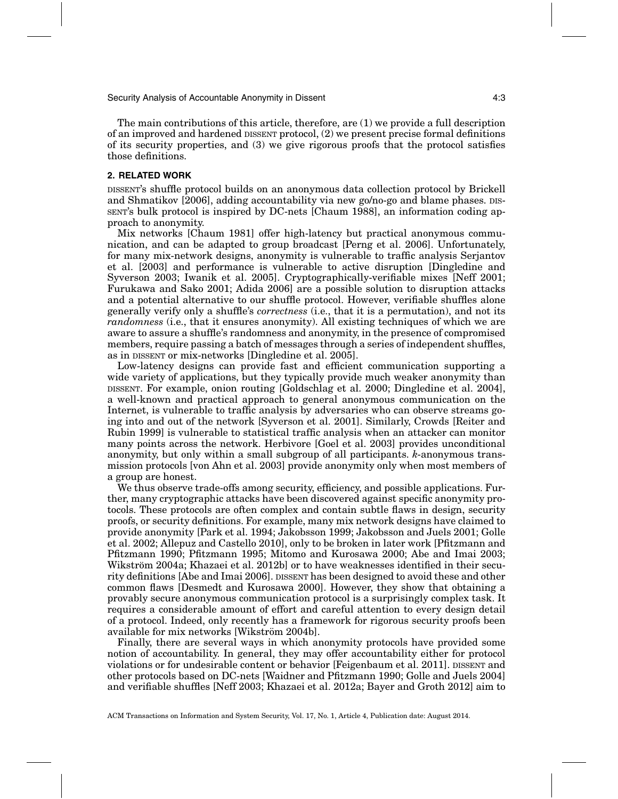The main contributions of this article, therefore, are (1) we provide a full description of an improved and hardened DISSENT protocol,  $(2)$  we present precise formal definitions of its security properties, and (3) we give rigorous proofs that the protocol satisfies those definitions.

# **2. RELATED WORK**

DISSENT's shuffle protocol builds on an anonymous data collection protocol by Brickell and Shmatikov [2006], adding accountability via new go/no-go and blame phases. DIS-SENT's bulk protocol is inspired by DC-nets [Chaum 1988], an information coding approach to anonymity.

Mix networks [Chaum 1981] offer high-latency but practical anonymous communication, and can be adapted to group broadcast [Perng et al. 2006]. Unfortunately, for many mix-network designs, anonymity is vulnerable to traffic analysis Serjantov et al. [2003] and performance is vulnerable to active disruption [Dingledine and Syverson 2003; Iwanik et al. 2005]. Cryptographically-verifiable mixes [Neff 2001; Furukawa and Sako 2001; Adida 2006] are a possible solution to disruption attacks and a potential alternative to our shuffle protocol. However, verifiable shuffles alone generally verify only a shuffle's *correctness* (i.e., that it is a permutation), and not its *randomness* (i.e., that it ensures anonymity). All existing techniques of which we are aware to assure a shuffle's randomness and anonymity, in the presence of compromised members, require passing a batch of messages through a series of independent shuffles, as in DISSENT or mix-networks [Dingledine et al. 2005].

Low-latency designs can provide fast and efficient communication supporting a wide variety of applications, but they typically provide much weaker anonymity than DISSENT. For example, onion routing [Goldschlag et al. 2000; Dingledine et al. 2004], a well-known and practical approach to general anonymous communication on the Internet, is vulnerable to traffic analysis by adversaries who can observe streams going into and out of the network [Syverson et al. 2001]. Similarly, Crowds [Reiter and Rubin 1999] is vulnerable to statistical traffic analysis when an attacker can monitor many points across the network. Herbivore [Goel et al. 2003] provides unconditional anonymity, but only within a small subgroup of all participants. *k*-anonymous transmission protocols [von Ahn et al. 2003] provide anonymity only when most members of a group are honest.

We thus observe trade-offs among security, efficiency, and possible applications. Further, many cryptographic attacks have been discovered against specific anonymity protocols. These protocols are often complex and contain subtle flaws in design, security proofs, or security definitions. For example, many mix network designs have claimed to provide anonymity [Park et al. 1994; Jakobsson 1999; Jakobsson and Juels 2001; Golle et al. 2002; Allepuz and Castello 2010], only to be broken in later work [Pfitzmann and Pfitzmann 1990; Pfitzmann 1995; Mitomo and Kurosawa 2000; Abe and Imai 2003; Wikström 2004a; Khazaei et al. 2012b] or to have weaknesses identified in their security definitions [Abe and Imai 2006]. DISSENT has been designed to avoid these and other common flaws [Desmedt and Kurosawa 2000]. However, they show that obtaining a provably secure anonymous communication protocol is a surprisingly complex task. It requires a considerable amount of effort and careful attention to every design detail of a protocol. Indeed, only recently has a framework for rigorous security proofs been available for mix networks [Wikström 2004b].

Finally, there are several ways in which anonymity protocols have provided some notion of accountability. In general, they may offer accountability either for protocol violations or for undesirable content or behavior [Feigenbaum et al. 2011]. DISSENT and other protocols based on DC-nets [Waidner and Pfitzmann 1990; Golle and Juels 2004] and verifiable shuffles [Neff 2003; Khazaei et al. 2012a; Bayer and Groth 2012] aim to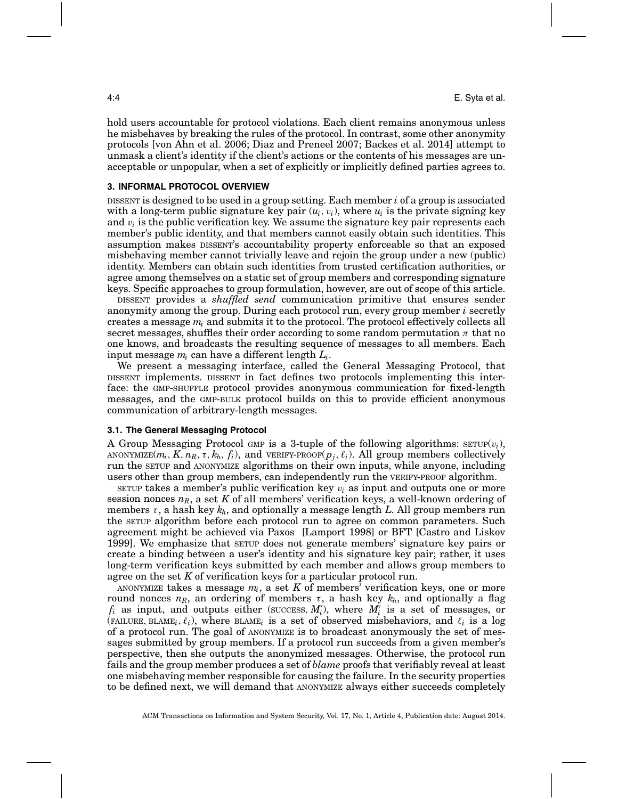hold users accountable for protocol violations. Each client remains anonymous unless he misbehaves by breaking the rules of the protocol. In contrast, some other anonymity protocols [von Ahn et al. 2006; Diaz and Preneel 2007; Backes et al. 2014] attempt to unmask a client's identity if the client's actions or the contents of his messages are unacceptable or unpopular, when a set of explicitly or implicitly defined parties agrees to.

# **3. INFORMAL PROTOCOL OVERVIEW**

DISSENT is designed to be used in a group setting. Each member *i* of a group is associated with a long-term public signature key pair  $(u_i, v_i)$ , where  $u_i$  is the private signing key and  $v_i$  is the public verification key. We assume the signature key pair represents each member's public identity, and that members cannot easily obtain such identities. This assumption makes DISSENT's accountability property enforceable so that an exposed misbehaving member cannot trivially leave and rejoin the group under a new (public) identity. Members can obtain such identities from trusted certification authorities, or agree among themselves on a static set of group members and corresponding signature keys. Specific approaches to group formulation, however, are out of scope of this article.

DISSENT provides a *shuffled send* communication primitive that ensures sender anonymity among the group. During each protocol run, every group member *i* secretly creates a message *mi* and submits it to the protocol. The protocol effectively collects all secret messages, shuffles their order according to some random permutation  $\pi$  that no one knows, and broadcasts the resulting sequence of messages to all members. Each input message *mi* can have a different length *Li*.

We present a messaging interface, called the General Messaging Protocol, that DISSENT implements. DISSENT in fact defines two protocols implementing this interface: the GMP-SHUFFLE protocol provides anonymous communication for fixed-length messages, and the GMP-BULK protocol builds on this to provide efficient anonymous communication of arbitrary-length messages.

#### **3.1. The General Messaging Protocol**

A Group Messaging Protocol GMP is a 3-tuple of the following algorithms:  $\text{SETUP}(v_i)$ , ANONYMIZE( $m_i$ ,  $K$ ,  $n_R$ ,  $\tau$ ,  $k_h$ ,  $f_i$ ), and VERIFY-PROOF( $p_j$ ,  $\ell_i$ ). All group members collectively run the SETUP and ANONYMIZE algorithms on their own inputs, while anyone, including users other than group members, can independently run the VERIFY-PROOF algorithm.

SETUP takes a member's public verification key  $v_i$  as input and outputs one or more session nonces  $n_R$ , a set K of all members' verification keys, a well-known ordering of members  $\tau$ , a hash key  $k_h$ , and optionally a message length *L*. All group members run the SETUP algorithm before each protocol run to agree on common parameters. Such agreement might be achieved via Paxos [Lamport 1998] or BFT [Castro and Liskov 1999]. We emphasize that SETUP does not generate members' signature key pairs or create a binding between a user's identity and his signature key pair; rather, it uses long-term verification keys submitted by each member and allows group members to agree on the set *K* of verification keys for a particular protocol run.

ANONYMIZE takes a message  $m_i$ , a set  $K$  of members' verification keys, one or more round nonces  $n_R$ , an ordering of members τ, a hash key  $k_h$ , and optionally a flag  $f_i$  as input, and outputs either (SUCCESS,  $M_i'$ ), where  $M_i'$  is a set of messages, or (FAILURE, BLAME<sub>i</sub>,  $\ell_i$ ), where BLAME<sub>i</sub> is a set of observed misbehaviors, and  $\ell_i$  is a log of a protocol run. The goal of ANONYMIZE is to broadcast anonymously the set of messages submitted by group members. If a protocol run succeeds from a given member's perspective, then she outputs the anonymized messages. Otherwise, the protocol run fails and the group member produces a set of *blame* proofs that verifiably reveal at least one misbehaving member responsible for causing the failure. In the security properties to be defined next, we will demand that ANONYMIZE always either succeeds completely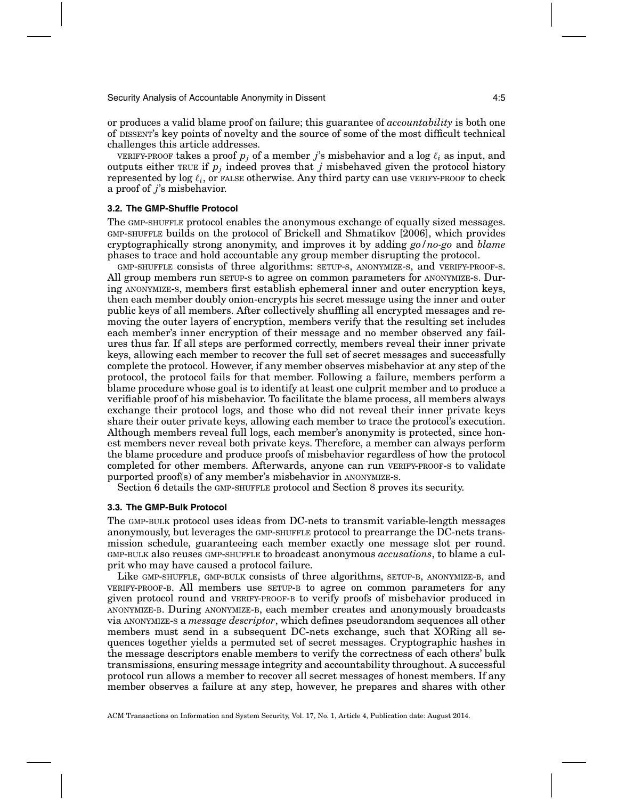or produces a valid blame proof on failure; this guarantee of *accountability* is both one of DISSENT's key points of novelty and the source of some of the most difficult technical challenges this article addresses.

VERIFY-PROOF takes a proof  $p_j$  of a member *j*'s misbehavior and a log  $\ell_i$  as input, and outputs either TRUE if  $p_j$  indeed proves that *j* misbehaved given the protocol history represented by  $log \ell_i$ , or FALSE otherwise. Any third party can use VERIFY-PROOF to check a proof of *j*'s misbehavior.

# **3.2. The GMP-Shuffle Protocol**

The GMP-SHUFFLE protocol enables the anonymous exchange of equally sized messages. GMP-SHUFFLE builds on the protocol of Brickell and Shmatikov [2006], which provides cryptographically strong anonymity, and improves it by adding *go/no-go* and *blame* phases to trace and hold accountable any group member disrupting the protocol.

GMP-SHUFFLE consists of three algorithms: SETUP-S, ANONYMIZE-S, and VERIFY-PROOF-S. All group members run SETUP-S to agree on common parameters for ANONYMIZE-S. During ANONYMIZE-S, members first establish ephemeral inner and outer encryption keys, then each member doubly onion-encrypts his secret message using the inner and outer public keys of all members. After collectively shuffling all encrypted messages and removing the outer layers of encryption, members verify that the resulting set includes each member's inner encryption of their message and no member observed any failures thus far. If all steps are performed correctly, members reveal their inner private keys, allowing each member to recover the full set of secret messages and successfully complete the protocol. However, if any member observes misbehavior at any step of the protocol, the protocol fails for that member. Following a failure, members perform a blame procedure whose goal is to identify at least one culprit member and to produce a verifiable proof of his misbehavior. To facilitate the blame process, all members always exchange their protocol logs, and those who did not reveal their inner private keys share their outer private keys, allowing each member to trace the protocol's execution. Although members reveal full logs, each member's anonymity is protected, since honest members never reveal both private keys. Therefore, a member can always perform the blame procedure and produce proofs of misbehavior regardless of how the protocol completed for other members. Afterwards, anyone can run VERIFY-PROOF-S to validate purported proof(s) of any member's misbehavior in ANONYMIZE-S.

Section 6 details the GMP-SHUFFLE protocol and Section 8 proves its security.

### **3.3. The GMP-Bulk Protocol**

The GMP-BULK protocol uses ideas from DC-nets to transmit variable-length messages anonymously, but leverages the GMP-SHUFFLE protocol to prearrange the DC-nets transmission schedule, guaranteeing each member exactly one message slot per round. GMP-BULK also reuses GMP-SHUFFLE to broadcast anonymous *accusations*, to blame a culprit who may have caused a protocol failure.

Like GMP-SHUFFLE, GMP-BULK consists of three algorithms, SETUP-B, ANONYMIZE-B, and VERIFY-PROOF-B. All members use SETUP-B to agree on common parameters for any given protocol round and VERIFY-PROOF-B to verify proofs of misbehavior produced in ANONYMIZE-B. During ANONYMIZE-B, each member creates and anonymously broadcasts via ANONYMIZE-S a *message descriptor*, which defines pseudorandom sequences all other members must send in a subsequent DC-nets exchange, such that XORing all sequences together yields a permuted set of secret messages. Cryptographic hashes in the message descriptors enable members to verify the correctness of each others' bulk transmissions, ensuring message integrity and accountability throughout. A successful protocol run allows a member to recover all secret messages of honest members. If any member observes a failure at any step, however, he prepares and shares with other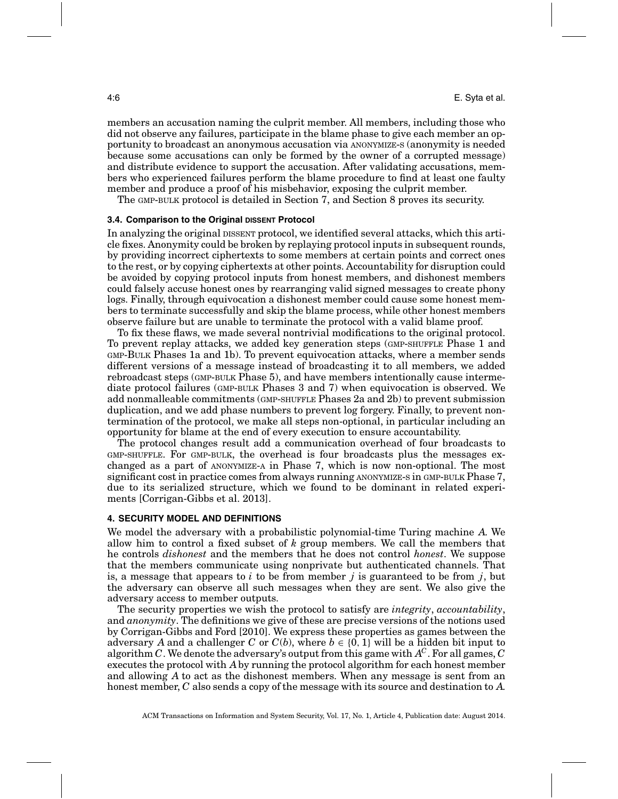members an accusation naming the culprit member. All members, including those who did not observe any failures, participate in the blame phase to give each member an opportunity to broadcast an anonymous accusation via ANONYMIZE-S (anonymity is needed because some accusations can only be formed by the owner of a corrupted message) and distribute evidence to support the accusation. After validating accusations, members who experienced failures perform the blame procedure to find at least one faulty member and produce a proof of his misbehavior, exposing the culprit member.

The GMP-BULK protocol is detailed in Section 7, and Section 8 proves its security.

#### **3.4. Comparison to the Original DISSENT Protocol**

In analyzing the original DISSENT protocol, we identified several attacks, which this article fixes. Anonymity could be broken by replaying protocol inputs in subsequent rounds, by providing incorrect ciphertexts to some members at certain points and correct ones to the rest, or by copying ciphertexts at other points. Accountability for disruption could be avoided by copying protocol inputs from honest members, and dishonest members could falsely accuse honest ones by rearranging valid signed messages to create phony logs. Finally, through equivocation a dishonest member could cause some honest members to terminate successfully and skip the blame process, while other honest members observe failure but are unable to terminate the protocol with a valid blame proof.

To fix these flaws, we made several nontrivial modifications to the original protocol. To prevent replay attacks, we added key generation steps (GMP-SHUFFLE Phase 1 and GMP-BULK Phases 1a and 1b). To prevent equivocation attacks, where a member sends different versions of a message instead of broadcasting it to all members, we added rebroadcast steps (GMP-BULK Phase 5), and have members intentionally cause intermediate protocol failures (GMP-BULK Phases 3 and 7) when equivocation is observed. We add nonmalleable commitments (GMP-SHUFFLE Phases 2a and 2b) to prevent submission duplication, and we add phase numbers to prevent log forgery. Finally, to prevent nontermination of the protocol, we make all steps non-optional, in particular including an opportunity for blame at the end of every execution to ensure accountability.

The protocol changes result add a communication overhead of four broadcasts to GMP-SHUFFLE. For GMP-BULK, the overhead is four broadcasts plus the messages exchanged as a part of ANONYMIZE-A in Phase 7, which is now non-optional. The most significant cost in practice comes from always running ANONYMIZE-S in GMP-BULK Phase 7, due to its serialized structure, which we found to be dominant in related experiments [Corrigan-Gibbs et al. 2013].

# **4. SECURITY MODEL AND DEFINITIONS**

We model the adversary with a probabilistic polynomial-time Turing machine *A*. We allow him to control a fixed subset of *k* group members. We call the members that he controls *dishonest* and the members that he does not control *honest*. We suppose that the members communicate using nonprivate but authenticated channels. That is, a message that appears to *i* to be from member *j* is guaranteed to be from *j*, but the adversary can observe all such messages when they are sent. We also give the adversary access to member outputs.

The security properties we wish the protocol to satisfy are *integrity*, *accountability*, and *anonymity*. The definitions we give of these are precise versions of the notions used by Corrigan-Gibbs and Ford [2010]. We express these properties as games between the adversary *A* and a challenger *C* or  $C(b)$ , where  $b \in \{0, 1\}$  will be a hidden bit input to algorithm *C*. We denote the adversary's output from this game with *AC*. For all games, *C* executes the protocol with *A*by running the protocol algorithm for each honest member and allowing *A* to act as the dishonest members. When any message is sent from an honest member, *C* also sends a copy of the message with its source and destination to *A*.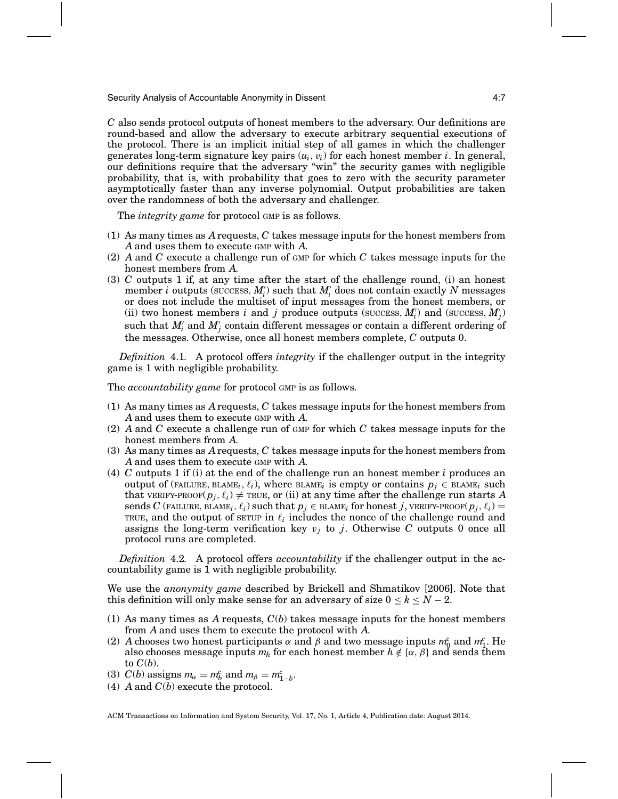Security Analysis of Accountable Anonymity in Dissent 4:7 Anonymity in Accountable 4:7

*C* also sends protocol outputs of honest members to the adversary. Our definitions are round-based and allow the adversary to execute arbitrary sequential executions of the protocol. There is an implicit initial step of all games in which the challenger generates long-term signature key pairs  $(u_i, v_i)$  for each honest member *i*. In general, our definitions require that the adversary "win" the security games with negligible probability, that is, with probability that goes to zero with the security parameter asymptotically faster than any inverse polynomial. Output probabilities are taken over the randomness of both the adversary and challenger.

The *integrity game* for protocol GMP is as follows.

- (1) As many times as *A*requests, *C* takes message inputs for the honest members from *A* and uses them to execute GMP with *A*.
- (2) *A* and *C* execute a challenge run of GMP for which *C* takes message inputs for the honest members from *A*.
- (3) *C* outputs 1 if, at any time after the start of the challenge round, (i) an honest member *i* outputs (success,  $M_i'$ ) such that  $M_i'$  does not contain exactly  $N$  messages or does not include the multiset of input messages from the honest members, or (ii) two honest members *i* and *j* produce outputs (SUCCESS,  $M_i'$ ) and (SUCCESS,  $M_j'$ ) such that  $M_i'$  and  $M_j'$  contain different messages or contain a different ordering of the messages. Otherwise, once all honest members complete, *C* outputs 0.

*Definition* 4.1*.* A protocol offers *integrity* if the challenger output in the integrity game is 1 with negligible probability.

The *accountability game* for protocol GMP is as follows.

- (1) As many times as *A*requests, *C* takes message inputs for the honest members from *A* and uses them to execute GMP with *A*.
- (2) *A* and *C* execute a challenge run of GMP for which *C* takes message inputs for the honest members from *A*.
- (3) As many times as *A*requests, *C* takes message inputs for the honest members from *A* and uses them to execute GMP with *A*.
- (4) *C* outputs 1 if (i) at the end of the challenge run an honest member *i* produces an output of (FAILURE, BLAME<sub>i</sub>,  $\ell_i$ ), where BLAME<sub>i</sub> is empty or contains  $p_i \in \text{BLAME}_i$  such that VERIFY-PROOF $(p_i, \ell_i) \neq \text{TRUE}$ , or (ii) at any time after the challenge run starts A sends *C* (FAILURE, BLAME<sub>i</sub>,  $\ell_i$ ) such that  $p_j \in \text{BLAME}_i$  for honest *j*, VERIFY-PROOF( $p_j, \ell_i$ ) = TRUE, and the output of SETUP in  $\ell_i$  includes the nonce of the challenge round and assigns the long-term verification key  $v_j$  to *j*. Otherwise *C* outputs 0 once all protocol runs are completed.

*Definition* 4.2*.* A protocol offers *accountability* if the challenger output in the accountability game is 1 with negligible probability.

We use the *anonymity game* described by Brickell and Shmatikov [2006]. Note that this definition will only make sense for an adversary of size  $0 \le k \le N - 2$ .

- (1) As many times as *A* requests, *C*(*b*) takes message inputs for the honest members from *A* and uses them to execute the protocol with *A*.
- (2) *A* chooses two honest participants  $\alpha$  and  $\beta$  and two message inputs  $m_0^c$  and  $m_1^c$ . He also chooses message inputs  $m_h$  for each honest member  $h \notin {\{\alpha, \beta\}}$  and sends them to  $C(b)$ .
- (3) *C*(*b*) assigns  $m_{\alpha} = m_b^c$  and  $m_{\beta} = m_{1-b}^c$ .
- (4) *A* and *C*(*b*) execute the protocol.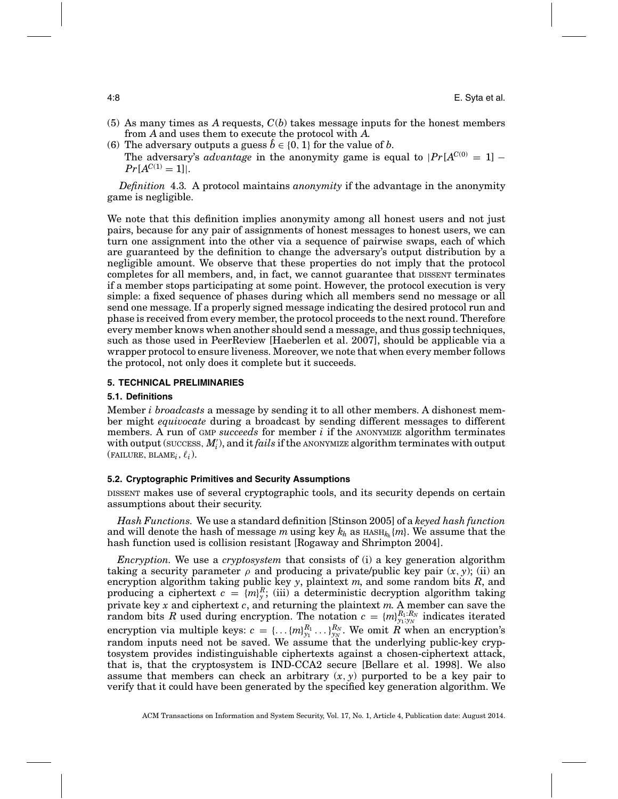- (5) As many times as *A* requests, *C*(*b*) takes message inputs for the honest members from *A* and uses them to execute the protocol with *A*.
- (6) The adversary outputs a guess  $b \in \{0, 1\}$  for the value of *b*. The adversary's *advantage* in the anonymity game is equal to  $|Pr[A^{C(0)} = 1]$  –  $Pr[A^{C(1)} = 1]$ .

*Definition* 4.3*.* A protocol maintains *anonymity* if the advantage in the anonymity game is negligible.

We note that this definition implies anonymity among all honest users and not just pairs, because for any pair of assignments of honest messages to honest users, we can turn one assignment into the other via a sequence of pairwise swaps, each of which are guaranteed by the definition to change the adversary's output distribution by a negligible amount. We observe that these properties do not imply that the protocol completes for all members, and, in fact, we cannot guarantee that DISSENT terminates if a member stops participating at some point. However, the protocol execution is very simple: a fixed sequence of phases during which all members send no message or all send one message. If a properly signed message indicating the desired protocol run and phase is received from every member, the protocol proceeds to the next round. Therefore every member knows when another should send a message, and thus gossip techniques, such as those used in PeerReview [Haeberlen et al. 2007], should be applicable via a wrapper protocol to ensure liveness. Moreover, we note that when every member follows the protocol, not only does it complete but it succeeds.

# **5. TECHNICAL PRELIMINARIES**

#### **5.1. Definitions**

Member *i broadcasts* a message by sending it to all other members. A dishonest member might *equivocate* during a broadcast by sending different messages to different members. A run of GMP *succeeds* for member *i* if the ANONYMIZE algorithm terminates with output (success,  $M_i'$ ), and it *fails* if the ANONYMIZE algorithm terminates with output  $(FAILURE, BLAME<sub>i</sub>, \ell<sub>i</sub>)$ .

### **5.2. Cryptographic Primitives and Security Assumptions**

DISSENT makes use of several cryptographic tools, and its security depends on certain assumptions about their security.

*Hash Functions.* We use a standard definition [Stinson 2005] of a *keyed hash function* and will denote the hash of message *m* using key  $k_h$  as  $H = \frac{m}{h}$ . We assume that the hash function used is collision resistant [Rogaway and Shrimpton 2004].

*Encryption.* We use a *cryptosystem* that consists of (i) a key generation algorithm taking a security parameter  $\rho$  and producing a private/public key pair  $(x, y)$ ; (ii) an encryption algorithm taking public key *y*, plaintext *m*, and some random bits *R*, and producing a ciphertext  $c = {m}^R$ ; (iii) a deterministic decryption algorithm taking private key *x* and ciphertext *c*, and returning the plaintext *m*. A member can save the random bits *R* used during encryption. The notation  $c = \{m\}_{y_1: y_N}^{R_1: R_N}$  indicates iterated encryption via multiple keys:  $c = \{ \ldots [m]_{y_1}^{R_1} \ldots \}_{y_N}^{R_N}$ . We omit *R* when an encryption's random inputs need not be saved. We assume that the underlying public-key cryptosystem provides indistinguishable ciphertexts against a chosen-ciphertext attack, that is, that the cryptosystem is IND-CCA2 secure [Bellare et al. 1998]. We also assume that members can check an arbitrary  $(x, y)$  purported to be a key pair to verify that it could have been generated by the specified key generation algorithm. We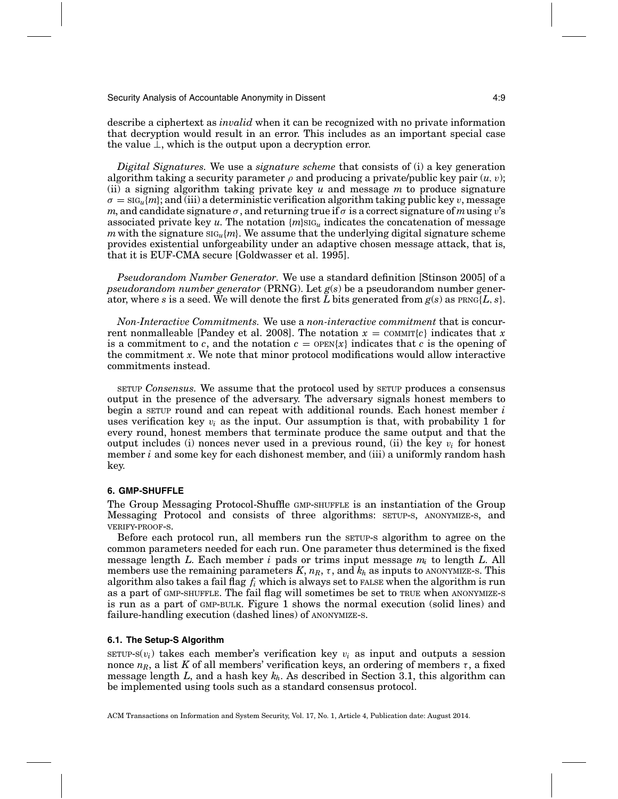Security Analysis of Accountable Anonymity in Dissent 4:9

describe a ciphertext as *invalid* when it can be recognized with no private information that decryption would result in an error. This includes as an important special case the value  $\perp$ , which is the output upon a decryption error.

*Digital Signatures.* We use a *signature scheme* that consists of (i) a key generation algorithm taking a security parameter  $\rho$  and producing a private/public key pair  $(u, v)$ ; (ii) a signing algorithm taking private key *u* and message *m* to produce signature  $\sigma = \text{SiG}_{u}{m}$ ; and (iii) a deterministic verification algorithm taking public key v, message *m*, and candidate signature  $\sigma$ , and returning true if  $\sigma$  is a correct signature of *m* using v's associated private key *u*. The notation  ${m}$ SIG<sub>*u*</sub> indicates the concatenation of message *m* with the signature  $\text{sig}_u{m}$ . We assume that the underlying digital signature scheme provides existential unforgeability under an adaptive chosen message attack, that is, that it is EUF-CMA secure [Goldwasser et al. 1995].

*Pseudorandom Number Generator.* We use a standard definition [Stinson 2005] of a *pseudorandom number generator* (PRNG). Let *g*(*s*) be a pseudorandom number generator, where *s* is a seed. We will denote the first L bits generated from  $g(s)$  as  $PRNG[L, s]$ .

*Non-Interactive Commitments.* We use a *non-interactive commitment* that is concurrent nonmalleable [Pandey et al. 2008]. The notation  $x = \text{comm}(\mathcal{C})$  indicates that x is a commitment to *c*, and the notation  $c = \text{OPEN}(x)$  indicates that *c* is the opening of the commitment *x*. We note that minor protocol modifications would allow interactive commitments instead.

SETUP *Consensus.* We assume that the protocol used by SETUP produces a consensus output in the presence of the adversary. The adversary signals honest members to begin a SETUP round and can repeat with additional rounds. Each honest member *i* uses verification key  $v_i$  as the input. Our assumption is that, with probability 1 for every round, honest members that terminate produce the same output and that the output includes (i) nonces never used in a previous round, (ii) the key  $v_i$  for honest member *i* and some key for each dishonest member, and (iii) a uniformly random hash key.

# **6. GMP-SHUFFLE**

The Group Messaging Protocol-Shuffle GMP-SHUFFLE is an instantiation of the Group Messaging Protocol and consists of three algorithms: SETUP-S, ANONYMIZE-S, and VERIFY-PROOF-S.

Before each protocol run, all members run the SETUP-S algorithm to agree on the common parameters needed for each run. One parameter thus determined is the fixed message length *L*. Each member *i* pads or trims input message *mi* to length *L*. All members use the remaining parameters  $K$ ,  $n<sub>R</sub>$ ,  $\tau$ , and  $k<sub>h</sub>$  as inputs to ANONYMIZE-S. This algorithm also takes a fail flag *fi* which is always set to FALSE when the algorithm is run as a part of GMP-SHUFFLE. The fail flag will sometimes be set to TRUE when ANONYMIZE-S is run as a part of GMP-BULK. Figure 1 shows the normal execution (solid lines) and failure-handling execution (dashed lines) of ANONYMIZE-S.

#### **6.1. The Setup-S Algorithm**

SETUP-S $(v_i)$  takes each member's verification key  $v_i$  as input and outputs a session nonce  $n_R$ , a list K of all members' verification keys, an ordering of members  $\tau$ , a fixed message length *L*, and a hash key *kh*. As described in Section 3.1, this algorithm can be implemented using tools such as a standard consensus protocol.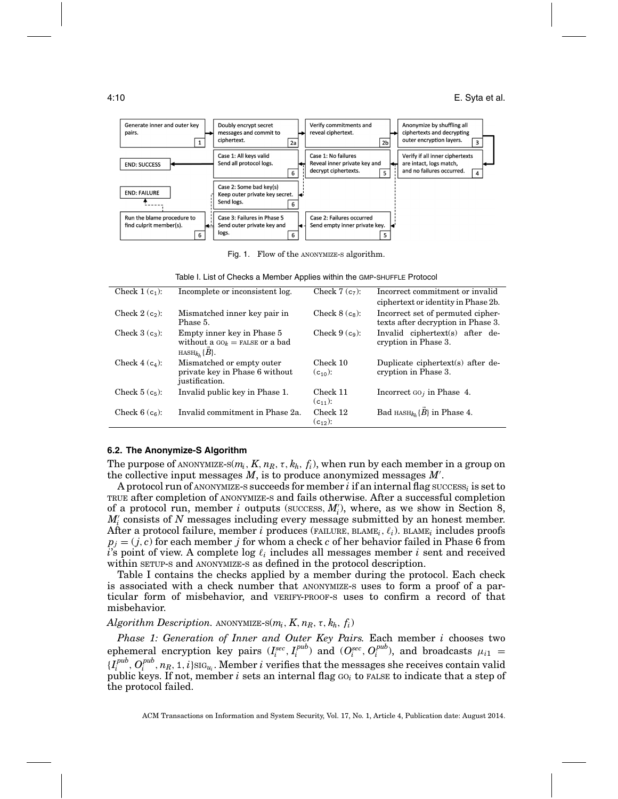

Fig. 1. Flow of the ANONYMIZE-S algorithm.

| Check $1(c_1)$ : | Incomplete or inconsistent log.                                                        | Check $7(c_7)$ :             | Incorrect commitment or invalid<br>ciphertext or identity in Phase 2b.  |
|------------------|----------------------------------------------------------------------------------------|------------------------------|-------------------------------------------------------------------------|
|                  |                                                                                        |                              |                                                                         |
| Check $2(c_2)$ : | Mismatched inner key pair in<br>Phase 5.                                               | Check $8$ (c <sub>8</sub> ): | Incorrect set of permuted cipher-<br>texts after decryption in Phase 3. |
| Check $3(c_3)$ : | Empty inner key in Phase 5<br>without a $GO_k = FALSE$ or a bad<br>$HASH_{k}$ $\{B\}.$ | Check $9(c_9)$ :             | Invalid ciphertext(s) after de-<br>cryption in Phase 3.                 |
| Check $4(c_4)$ : | Mismatched or empty outer<br>private key in Phase 6 without<br>justification.          | Check 10<br>$(c_{10})$ :     | Duplicate ciphertext(s) after de-<br>cryption in Phase 3.               |
| Check $5(c_5)$ : | Invalid public key in Phase 1.                                                         | Check 11<br>$(c_{11})$ :     | Incorrect $G$ <sub><i>i</i></sub> in Phase 4.                           |
| Check $6(c_6)$ : | Invalid commitment in Phase 2a.                                                        | Check 12<br>$(c_{12})$ :     | Bad $HASH_{k}$ $\{\vec{B}\}\$ in Phase 4.                               |

Table I. List of Checks a Member Applies within the GMP-SHUFFLE Protocol

#### **6.2. The Anonymize-S Algorithm**

The purpose of ANONYMIZE-S $(m_i, K, n_R, \tau, k_h, f_i)$ , when run by each member in a group on the collective input messages *M*, is to produce anonymized messages *M*- .

A protocol run of ANONYMIZE-S succeeds for member *i* if an internal flag SUCCESS*<sup>i</sup>* is set to TRUE after completion of ANONYMIZE-S and fails otherwise. After a successful completion of a protocol run, member *i* outputs (SUCCESS,  $M_i'$ ), where, as we show in Section 8,  $M'_{i}$  consists of  $N$  messages including every message submitted by an honest member. After a protocol failure, member *i* produces (FAILURE, BLAME*i*,*i*). BLAME*<sup>i</sup>* includes proofs  $p_j = (j, c)$  for each member *j* for whom a check *c* of her behavior failed in Phase 6 from  $i$ 's point of view. A complete log  $\ell_i$  includes all messages member  $i$  sent and received within SETUP-S and ANONYMIZE-S as defined in the protocol description.

Table I contains the checks applied by a member during the protocol. Each check is associated with a check number that ANONYMIZE-S uses to form a proof of a particular form of misbehavior, and VERIFY-PROOF-S uses to confirm a record of that misbehavior.

# *Algorithm Description.* ANONYMIZE- $s(m_i, K, n_R, \tau, k_h, f_i)$

*Phase 1: Generation of Inner and Outer Key Pairs.* Each member *i* chooses two ephemeral encryption key pairs  $(I_i^{sec}, I_i^{pub})$  and  $(O_i^{sec}, O_i^{pub})$ , and broadcasts  $\mu_{i1}$  $\{I_i^{pub}, Q_i^{pub}, n_R, 1, i\}$ SIG<sub>u<sub>i</sub></sub>. Member *i* verifies that the messages she receives contain valid public keys. If not, member  $i$  sets an internal flag  $GO_i$  to FALSE to indicate that a step of the protocol failed.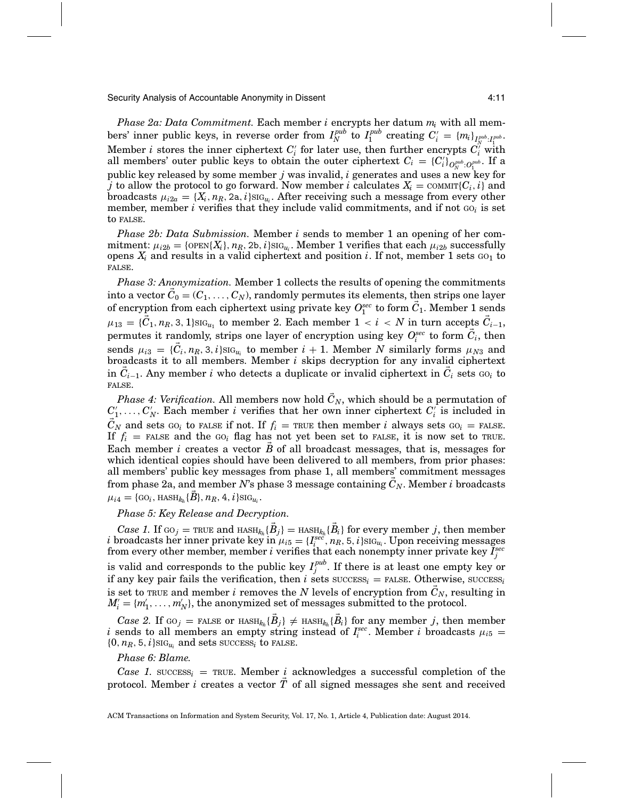Security Analysis of Accountable Anonymity in Dissent 4:11 4:11

*Phase 2a: Data Commitment.* Each member *i* encrypts her datum *mi* with all mem- $I_N^{pub}$  to  $I_1^{pub}$  creating  $C_i' = \{m_i\}_{I_N^{pub}.I_1^{pub}}$ . Member *i* stores the inner ciphertext  $C_i$  for later use, then further encrypts  $C_i^{\text{v}}$  with all members' outer public keys to obtain the outer ciphertext  $C_i = {C_i'}_0C_i^{\mu\nu}C_iC_i^{\mu\nu}$ . If a public key released by some member *j* was invalid, *i* generates and uses a new key for *j* to allow the protocol to go forward. Now member *i* calculates  $X_i = \text{Comm}{}{C_i, i}$  and broadcasts  $\mu_{i2a} = \{X_i, n_R, 2a, i\}$ SIG<sub>ui</sub>. After receiving such a message from every other member, member  $i$  verifies that they include valid commitments, and if not  $\omega_i$  is set to FALSE.

*Phase 2b: Data Submission.* Member *i* sends to member 1 an opening of her commitment:  $\mu_{i2b} = {\text{OPEN}\{X_i\}, n_R, 2b, i\} \text{SG}_{u_i}$ . Member 1 verifies that each  $\mu_{i2b}$  successfully opens  $X_i$  and results in a valid ciphertext and position *i*. If not, member 1 sets  $\omega_1$  to FALSE.

*Phase 3: Anonymization.* Member 1 collects the results of opening the commitments into a vector  $C_0 = (C_1, \ldots, C_N)$ , randomly permutes its elements, then strips one layer of encryption from each ciphertext using private key  $O_1^{sec}$  to form  $\vec{C}_1$ . Member 1 sends  $\mu_{13} = {\overline{C}}_1, n_R, 3, 1$ }SIG<sub>*u*1</sub></sub> to member 2. Each member  $1 < i < N$  in turn accepts  $\overline{C}_{i-1}$ , permutes it randomly, strips one layer of encryption using key  $O_i^{sec}$  to form  $\vec{C}_i$ , then sends  $\mu_{i3} = {\{\vec{C}_i, n_R, 3, i\} \text{SIG}_{u_i}}$  to member  $i + 1$ . Member *N* similarly forms  $\mu_{N3}$  and broadcasts it to all members. Member *i* skips decryption for any invalid ciphertext in  $\tilde{C}_{i-1}$ . Any member *i* who detects a duplicate or invalid ciphertext in  $\tilde{C}_i$  sets  $\omega_i$  to FALSE.

*Phase 4: Verification.* All members now hold  $\vec{C}_N$ , which should be a permutation of  $C'_{1},\ldots,C'_{N}$ . Each member *i* verifies that her own inner ciphertext  $C'_{i}$  is included in  $C_N$  and sets G<sub>O</sub><sup>*i*</sup> to FALSE if not. If  $f_i$  = TRUE then member *i* always sets G<sub>O</sub><sup>*i*</sup> = FALSE. If  $f_i$  = FALSE and the GO<sub>i</sub> flag has not yet been set to FALSE, it is now set to TRUE. Each member  $i$  creates a vector  $\vec{B}$  of all broadcast messages, that is, messages for which identical copies should have been delivered to all members, from prior phases: all members' public key messages from phase 1, all members' commitment messages from phase 2a, and member *N*'s phase 3 message containing  $\tilde{C}_N$ . Member *i* broadcasts  $\mu_{i4} = {\text{GO}_i, \text{HASH}_{k}}{B}, n_R, 4, i\text{SIG}_{u_i}.$ 

*Phase 5: Key Release and Decryption.*

 $Case \; 1. \; \text{If} \; \text{GO}_j = \text{TRUE} \; \text{and} \; \text{HASH}_{k_h} \{ \vec{B}_j \} = \text{HASH}_{k_h} \{ \vec{B}_i \} \; \text{for every member} \; j, \; \text{then member}$ *i* broadcasts her inner private key in  $\mu_{i5} = \{I_i^{sec}, n_R, 5, i\}$ sig<sub>ui</sub>. Upon receiving messages from every other member, member *i* verifies that each nonempty inner private key  $\bar{I}^{sec}_j$ is valid and corresponds to the public key  $I_j^{pub}$ . If there is at least one empty key or if any key pair fails the verification, then *i* sets  $\text{success}_i = \text{FALSE}$ . Otherwise,  $\text{success}_i$ is set to TRUE and member *i* removes the *N* levels of encryption from  $C_N$ , resulting in  $M'_{i} = \{m'_{1}, \ldots, m'_{N}\},$  the anonymized set of messages submitted to the protocol.

*Case 2.* If  $GO_j = FALSE$  or  $HASH_{kh}$  $\{B_j\} \neq HASH_{kh}$  $\{B_i\}$  for any member *j*, then member *i* sends to all members an empty string instead of  $I_i^{sec}$ . Member *i* broadcasts  $\mu_{i5}$  =  $\{0, n_R, 5, i\}$ SIG<sub>*ui*</sub> and sets SUCCESS<sub>*i*</sub> to FALSE.

#### *Phase 6: Blame.*

*Case 1.* SUCCESS<sub>i</sub> = TRUE. Member *i* acknowledges a successful completion of the protocol. Member *i* creates a vector  $\vec{T}$  of all signed messages she sent and received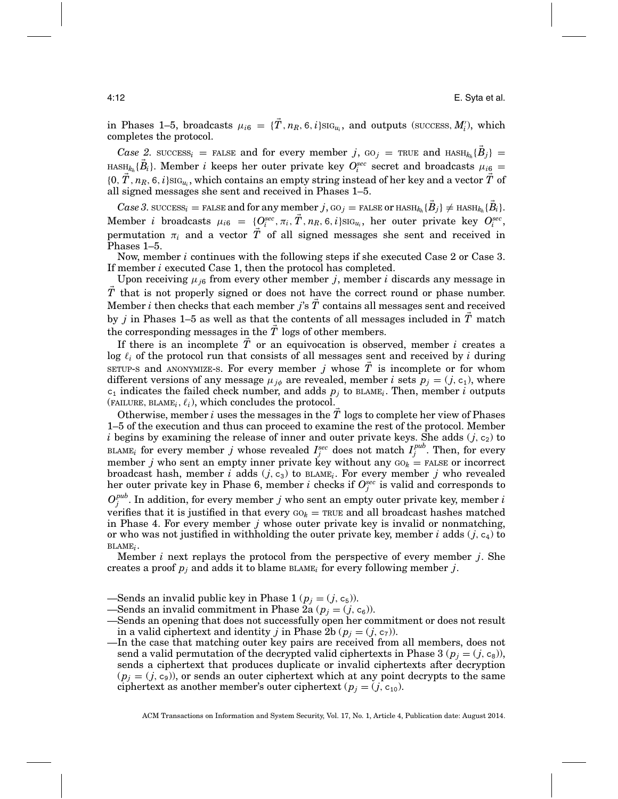in Phases 1–5, broadcasts  $\mu_{i6} = {\{\vec{T}, n_R, 6, i\}} s a_{\mu i}$ , and outputs (success,  $M'_i$ ), which completes the protocol.

*Case 2.* SUCCESS<sub>i</sub> = FALSE and for every member *j*,  $GO_j$  = TRUE and  $HASH_{kh}$  $\{\vec{B}_j\}$  =  $HASH_{k_h}\{\vec{B}_i\}$ . Member *i* keeps her outer private key  $O_i^{sec}$  secret and broadcasts  $\mu_{i6} =$  ${0, \vec{T}, n_R, 6, i}$ SIG<sub>ui</sub>, which contains an empty string instead of her key and a vector  $\vec{T}$  of all signed messages she sent and received in Phases 1–5.

 $Case 3.$  SUCCESS<sub>i</sub> = FALSE and for any member *j*, GO *j* = FALSE or HASH<sub>kh</sub>{ $\vec{B}_i$ }  $\neq$  HASH<sub>kh</sub>{ $\vec{B}_i$ }.  $\text{Member } i \text{ broadcasts } \mu_{i6} = \{O_i^{sec}, \pi_i, \vec{T}, n_R, 6, i\} \text{SIG}_{u_i}, \text{ her outer private key } O_i^{sec},$ permutation  $\pi_i$  and a vector  $\vec{T}$  of all signed messages she sent and received in Phases 1–5.

Now, member *i* continues with the following steps if she executed Case 2 or Case 3. If member *i* executed Case 1, then the protocol has completed.

Upon receiving  $\mu_{i6}$  from every other member *j*, member *i* discards any message in  $\overline{T}$  that is not properly signed or does not have the correct round or phase number. Member *i* then checks that each member *j*'s  $T$  contains all messages sent and received by *j* in Phases 1–5 as well as that the contents of all messages included in  $\overline{T}$  match the corresponding messages in the  $\overline{T}$  logs of other members.

If there is an incomplete  $\vec{T}$  or an equivocation is observed, member *i* creates a log  $\ell_i$  of the protocol run that consists of all messages sent and received by *i* during SETUP-S and ANONYMIZE-S. For every member *j* whose  $\overline{T}$  is incomplete or for whom different versions of any message  $\mu_{j\phi}$  are revealed, member *i* sets  $p_j = (j, c_1)$ , where  $c_1$  indicates the failed check number, and adds  $p_j$  to BLAME<sub>i</sub>. Then, member *i* outputs (FAILURE, BLAME<sub>i</sub>,  $\ell_i$ ), which concludes the protocol.

Otherwise, member  $i$  uses the messages in the  $T$  logs to complete her view of Phases 1–5 of the execution and thus can proceed to examine the rest of the protocol. Member *i* begins by examining the release of inner and outer private keys. She adds  $(j, c_2)$  to  $\text{BLAME}_i$  for every member *j* whose revealed  $I_j^{sec}$  does not match  $I_j^{pub}$ . Then, for every member *j* who sent an empty inner private key without any  $GO_k = FALSE$  or incorrect broadcast hash, member *i* adds  $(j, c_3)$  to BLAME<sub>*i*</sub>. For every member *j* who revealed her outer private key in Phase 6, member *i* checks if  $O_j^{sec}$  is valid and corresponds to  $O^{pub}_j$ . In addition, for every member  $j$  who sent an empty outer private key, member  $i$ verifies that it is justified in that every  $GO_k = TRUE$  and all broadcast hashes matched in Phase 4. For every member *j* whose outer private key is invalid or nonmatching, or who was not justified in withholding the outer private key, member  $i$  adds  $(j, c<sub>4</sub>)$  to BLAME*i*.

Member *i* next replays the protocol from the perspective of every member *j*. She creates a proof *pj* and adds it to blame BLAME*<sup>i</sup>* for every following member *j*.

- —Sends an invalid public key in Phase  $1 (p_i = (j, c_5))$ .
- —Sends an invalid commitment in Phase 2a  $(p_i = (j, c_6))$ .
- —Sends an opening that does not successfully open her commitment or does not result in a valid ciphertext and identity *j* in Phase 2b ( $p_j = (j, c_7)$ ).
- —In the case that matching outer key pairs are received from all members, does not send a valid permutation of the decrypted valid ciphertexts in Phase 3 ( $p_j = (j, c_8)$ ), sends a ciphertext that produces duplicate or invalid ciphertexts after decryption  $(p_i = (j, c_9))$ , or sends an outer ciphertext which at any point decrypts to the same ciphertext as another member's outer ciphertext ( $p_j = (j, c_{10})$ ).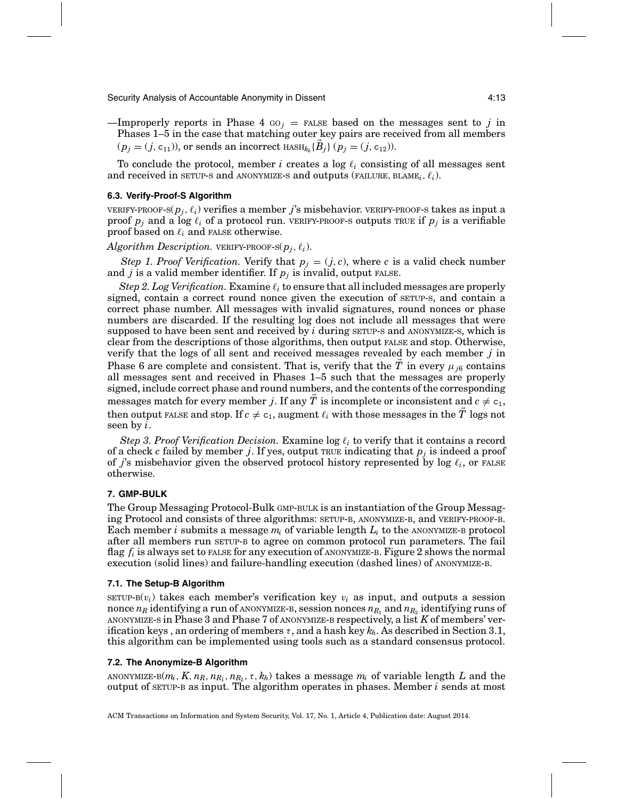Security Analysis of Accountable Anonymity in Dissent 4:13 4:13

 $-$ Improperly reports in Phase 4 GO<sub>i</sub> = FALSE based on the messages sent to *j* in Phases 1–5 in the case that matching outer key pairs are received from all members  $(p_i = (j, c_{11})$ , or sends an incorrect HASH<sub>kh</sub>{ $B_i$ } ( $p_i = (j, c_{12})$ ).

To conclude the protocol, member  $i$  creates a log  $\ell_i$  consisting of all messages sent and received in SETUP-S and ANONYMIZE-S and outputs (FAILURE, BLAME<sub>i</sub>,  $\ell_i$ ).

# **6.3. Verify-Proof-S Algorithm**

VERIFY-PROOF-S(*pj*,*i*) verifies a member *j*'s misbehavior. VERIFY-PROOF-S takes as input a proof  $p_i$  and a log  $\ell_i$  of a protocol run. VERIFY-PROOF-S outputs TRUE if  $p_i$  is a verifiable proof based on  $\ell_i$  and FALSE otherwise.

*Algorithm Description.* VERIFY-PROOF-S $(p_i, \ell_i)$ .

*Step 1. Proof Verification.* Verify that  $p_j = (j, c)$ , where *c* is a valid check number and  $j$  is a valid member identifier. If  $p_j$  is invalid, output FALSE.

*Step 2. Log Verification.* Examine  $\ell_i$  to ensure that all included messages are properly signed, contain a correct round nonce given the execution of SETUP-S, and contain a correct phase number. All messages with invalid signatures, round nonces or phase numbers are discarded. If the resulting log does not include all messages that were supposed to have been sent and received by  $i$  during  $s$ ETUP-S and ANONYMIZE-S, which is clear from the descriptions of those algorithms, then output FALSE and stop. Otherwise, verify that the logs of all sent and received messages revealed by each member *j* in Phase 6 are complete and consistent. That is, verify that the *T* in every  $\mu_{j6}$  contains all messages sent and received in Phases 1–5 such that the messages are properly signed, include correct phase and round numbers, and the contents of the corresponding messages match for every member *j*. If any *T* is incomplete or inconsistent and  $c \neq c_1$ , then output FALSE and stop. If  $c \neq c_1$ , augment  $\ell_i$  with those messages in the  $\overline{T}$  logs not seen by *i*.

*Step 3. Proof Verification Decision.* Examine  $\log \ell_i$  to verify that it contains a record of a check *c* failed by member *j*. If yes, output TRUE indicating that *pj* is indeed a proof of *j*'s misbehavior given the observed protocol history represented by log  $\ell_i$ , or FALSE otherwise.

#### **7. GMP-BULK**

The Group Messaging Protocol-Bulk GMP-BULK is an instantiation of the Group Messaging Protocol and consists of three algorithms: SETUP-B, ANONYMIZE-B, and VERIFY-PROOF-B. Each member *i* submits a message *mi* of variable length *Li* to the ANONYMIZE-B protocol after all members run SETUP-B to agree on common protocol run parameters. The fail flag *fi* is always set to FALSE for any execution of ANONYMIZE-B. Figure 2 shows the normal execution (solid lines) and failure-handling execution (dashed lines) of ANONYMIZE-B.

#### **7.1. The Setup-B Algorithm**

SETUP-B $(v_i)$  takes each member's verification key  $v_i$  as input, and outputs a session nonce  $n_R$  identifying a run of ANONYMIZE-B, session nonces  $n_{R_1}$  and  $n_{R_2}$  identifying runs of ANONYMIZE-S in Phase 3 and Phase 7 of ANONYMIZE-B respectively, a list *K* of members' verification keys, an ordering of members  $\tau$ , and a hash key  $k_h$ . As described in Section 3.1, this algorithm can be implemented using tools such as a standard consensus protocol.

# **7.2. The Anonymize-B Algorithm**

ANONYMIZE-B $(m_i, K, n_R, n_{R_1}, n_{R_2}, \tau, k_h)$  takes a message  $m_i$  of variable length L and the output of SETUP-B as input. The algorithm operates in phases. Member *i* sends at most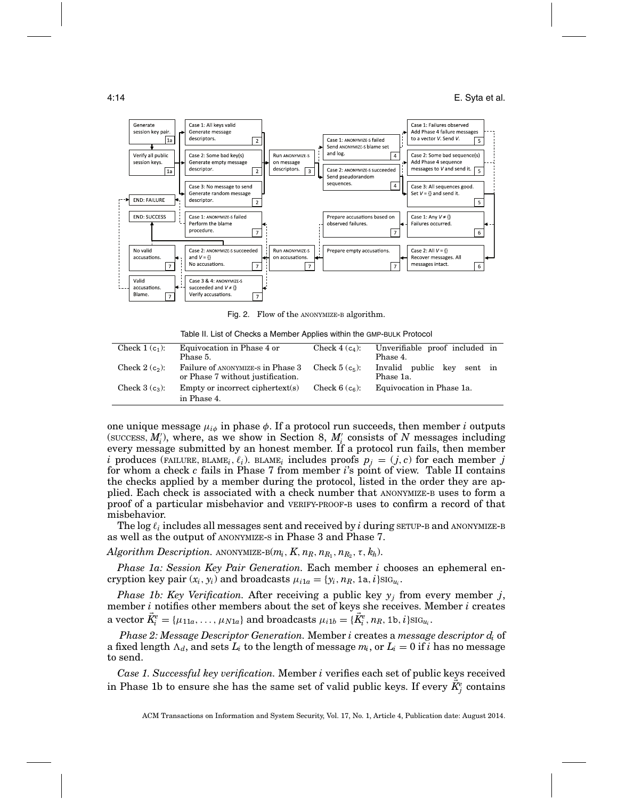

Fig. 2. Flow of the ANONYMIZE-B algorithm.

Table II. List of Checks a Member Applies within the GMP-BULK Protocol

| Check $1(c_1)$ : | Equivocation in Phase 4 or<br>Phase 5.                                 | Check $4(c_4)$ :  | Unverifiable proof included in<br>Phase 4. |
|------------------|------------------------------------------------------------------------|-------------------|--------------------------------------------|
| Check $2(c_2)$ : | Failure of ANONYMIZE-S in Phase 3<br>or Phase 7 without justification. | Check $5(c_5)$ :  | Invalid public key<br>sent in<br>Phase 1a. |
| Check $3(c_3)$ : | $Emptv$ or incorrect ciphertext(s)                                     | Check 6 $(c_6)$ : | Equivocation in Phase 1a.                  |
|                  | in Phase 4.                                                            |                   |                                            |

one unique message  $\mu_{i\phi}$  in phase  $\phi$ . If a protocol run succeeds, then member *i* outputs (SUCCESS,  $M_i'$ ), where, as we show in Section 8,  $M_i'$  consists of  $N$  messages including every message submitted by an honest member. If a protocol run fails, then member *i* produces (FAILURE, BLAME<sub>*i*</sub>,  $\ell_i$ ). BLAME<sub>*i*</sub> includes proofs  $p_j = (j, c)$  for each member *j* for whom a check *c* fails in Phase 7 from member *i*'s point of view. Table II contains the checks applied by a member during the protocol, listed in the order they are applied. Each check is associated with a check number that ANONYMIZE-B uses to form a proof of a particular misbehavior and VERIFY-PROOF-B uses to confirm a record of that misbehavior.

The  $\log \ell_i$  includes all messages sent and received by *i* during SETUP-B and ANONYMIZE-B as well as the output of ANONYMIZE-S in Phase 3 and Phase 7.

 $Algorithm Description. ANONYMIZE-B(m_i, K, n_R, n_{R_1}, n_{R_2}, \tau, k_h).$ 

*Phase 1a: Session Key Pair Generation.* Each member *i* chooses an ephemeral encryption key pair  $(x_i, y_i)$  and broadcasts  $\mu_{i1a} = \{y_i, n_R, 1a, i\}$ SIG<sub>*u*i</sub>.

*Phase 1b: Key Verification.* After receiving a public key *yj* from every member *j*, member *i* notifies other members about the set of keys she receives. Member *i* creates a vector  $\vec{K}_i^e = {\mu_{11a}, \ldots, \mu_{N1a}}$  and broadcasts  $\mu_{i1b} = {\vec{K}_i^e, n_R, 1b, i}$ sig<sub>u<sub>i</sub></sub>.

*Phase 2: Message Descriptor Generation.* Member *i* creates a *message descriptor di* of a fixed length  $\Lambda_d$ , and sets  $L_i$  to the length of message  $m_i,$  or  $L_i=0$  if  $i$  has no message to send.

*Case 1. Successful key verification.* Member *i* verifies each set of public keys received in Phase 1b to ensure she has the same set of valid public keys. If every  $\vec{R}_{j}^{e}$  contains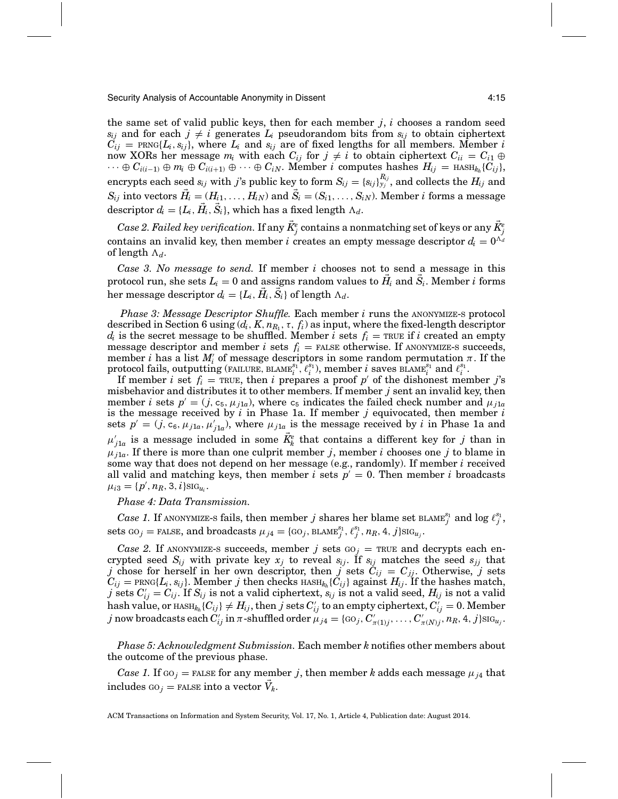Security Analysis of Accountable Anonymity in Dissent 4:15

the same set of valid public keys, then for each member *j*, *i* chooses a random seed  $s_{ij}$  and for each  $j \neq i$  generates  $L_i$  pseudorandom bits from  $s_{ij}$  to obtain ciphertext  $C_{ij}$  = PRNG{ $L_i$ ,  $s_{ij}$ }, where  $L_i$  and  $s_{ij}$  are of fixed lengths for all members. Member *i* now XORs her message  $m_i$  with each  $C_{ij}$  for  $j \neq i$  to obtain ciphertext  $C_{ii} = C_{i1} \oplus$  $\cdots \oplus C_{i(i-1)} \oplus m_i \oplus C_{i(i+1)} \oplus \cdots \oplus C_{iN}$ . Member *i* computes hashes  $H_{ij} = \text{HASH}_{k_h}\{C_{ij}\},$ encrypts each seed  $s_{ij}$  with *j*'s public key to form  $S_{ij} = \{s_{ij}\}_{y_j}^{R_{ij}}$ , and collects the  $H_{ij}$  and  $S_{ij}$  into vectors  $\vec{H}_i = (H_{i1}, \ldots, H_{iN})$  and  $\vec{S}_i = (S_{i1}, \ldots, S_{iN})$ . Member *i* forms a message  $\text{descriptor}\ d_i = \{L_i, \vec{H}_i, \vec{S}_i\}, \text{which has a fixed length }\Lambda_d.$ 

 $\emph{Case 2. Failed key verification. If any $\vec{K}_{j}^{e}$ contains a nonmatching set of keys or any $\vec{K}_{j}^{e}$}$ contains an invalid key, then member *i* creates an empty message descriptor  $d_i = 0^{\Lambda_d}$ of length  $\Lambda_d$ .

*Case 3. No message to send.* If member *i* chooses not to send a message in this protocol run, she sets  $L_i = 0$  and assigns random values to  $\tilde{H}_i$  and  $\tilde{S}_i$ . Member *i* forms  $\bar{\mathbf{d}}$  her message descriptor  $d_i = \{L_i, \vec{H}_i, \vec{S}_i\}$  of length  $\Lambda_d.$ 

*Phase 3: Message Descriptor Shuffle.* Each member *i* runs the ANONYMIZE-S protocol described in Section 6 using  $(d_i, K, n_{R_1}, \tau, f_i)$  as input, where the fixed-length descriptor  $d_i$  is the secret message to be shuffled. Member  $\overline{i}$  sets  $f_i$  = TRUE if  $i$  created an empty message descriptor and member  $i$  sets  $f_i$  = FALSE otherwise. If ANONYMIZE-S succeeds, member *i* has a list  $M_i'$  of message descriptors in some random permutation  $\pi$ . If the protocol fails, outputting (FAILURE, BLAME<sup>s<sub>1</sub></sub>,  $\ell_i^{s_1}$ ), member *i* saves BLAME<sub>i</sub><sup>s<sub>1</sub></sup> and  $\ell_i^{s_1}$ .</sup>

If member *i* set  $f_i$  = TRUE, then *i* prepares a proof  $p'$  of the dishonest member *j*'s misbehavior and distributes it to other members. If member *j* sent an invalid key, then member *i* sets  $p' = (j, c_5, \mu_{j1a})$ , where  $c_5$  indicates the failed check number and  $\mu_{j1a}$ is the message received by *i* in Phase 1a. If member *j* equivocated, then member *i* sets  $p' = (j, c_6, \mu_{j1a}, \mu'_{j1a})$ , where  $\mu_{j1a}$  is the message received by *i* in Phase 1a and  $\mu'_{j1a}$  is a message included in some  $\vec{R}_{k}^{e}$  that contains a different key for *j* than in  $\mu_{j1a}$ . If there is more than one culprit member *j*, member *i* chooses one *j* to blame in some way that does not depend on her message (e.g., randomly). If member *i* received all valid and matching keys, then member *i* sets  $p' = 0$ . Then member *i* broadcasts  $\mu_{i3} = \{p', n_R, 3, i\}$ SIG<sub> $u_i$ </sub>.

*Phase 4: Data Transmission.*

*Case 1.* If ANONYMIZE-S fails, then member *j* shares her blame set BLAME<sup> $s_1$ </sup> and log  $\ell_j^{s_1}$ , sets  $GO_j = FALEE$ , and broadcasts  $\mu_{j4} = \{GO_j, BLAME_j^{s_1}, \ell_j^{s_1}, n_R, 4, j\} \text{SIG}_{u_j}$ .

*Case 2.* If ANONYMIZE-S succeeds, member *j* sets  $GO_j$  = TRUE and decrypts each encrypted seed  $S_{ij}$  with private key  $x_j$  to reveal  $s_{ij}$ . If  $s_{ij}$  matches the seed  $s_{jj}$  that *j* chose for herself in her own descriptor, then *j* sets  $\check{C}_{ij} = C_{jj}$ . Otherwise, *j* sets  $C_{ij}$  = PRNG{ $L_i$ ,  $s_{ij}$ }. Member *j* then checks  $H_{ikh}$ { $C_{ij}$ } against  $H_{ij}$ . If the hashes match,  $j$  sets  $C'_{ij} = C_{ij}$ . If  $S_{ij}$  is not a valid ciphertext,  $s_{ij}$  is not a valid seed,  $H_{ij}$  is not a valid  $\{ \text{hash value}, \text{or } \text{HASH}_{k_h} \{ C_{ij} \} \neq H_{ij}, \text{then } j \text{ sets } C'_{ij} \text{ to an empty ciphertext}, C'_{ij} = 0.\text{ Member}$  $j$  now broadcasts each  $C'_{ij}$  in  $\pi$  -shuffled order  $\mu_{j4} =$  {GO $_j$ ,  $C'_{\pi(1)j},$   $\ldots$  ,  $C'_{\pi(N)j},$   $n_R,$  4,  $j$ }SIG $_{u_j}.$ 

*Phase 5: Acknowledgment Submission.* Each member *k* notifies other members about the outcome of the previous phase.

*Case 1.* If  $GO_j = F\text{ALSE}$  for any member *j*, then member *k* adds each message  $\mu_{i4}$  that includes  $GO_j = FALSE$  into a vector  $V_k$ .

ACM Transactions on Information and System Security, Vol. 17, No. 1, Article 4, Publication date: August 2014.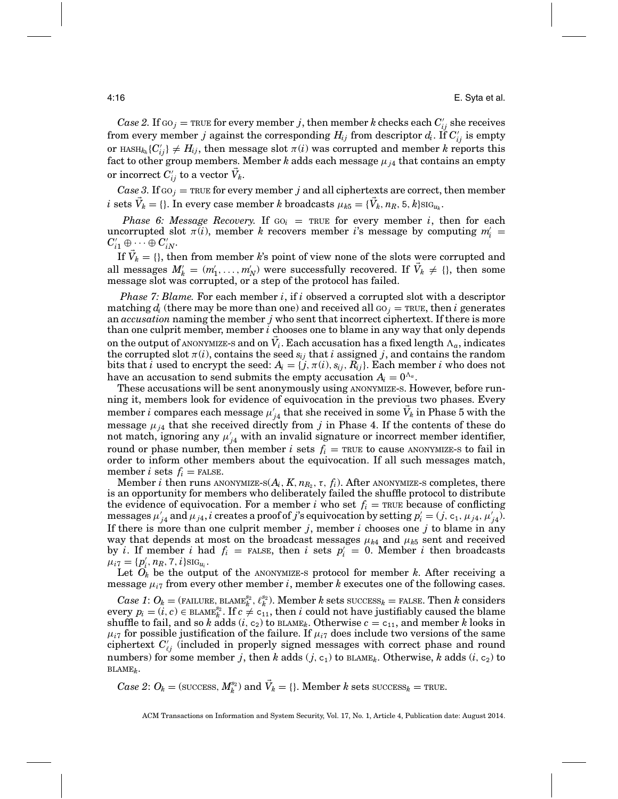$Case 2.$  If  $Go_j = \text{TRUE}$  for every member *j*, then member *k* checks each  $C'_{ij}$  she receives from every member *j* against the corresponding  $H_{ij}$  from descriptor  $d_i$ . If  $C'_{ij}$  is empty or  $\text{HASH}_{k_h}(C'_{ij}) \neq H_{ij}$ , then message slot  $\pi(i)$  was corrupted and member *k* reports this fact to other group members. Member *k* adds each message  $\mu_{j4}$  that contains an empty  $\text{or incorrect } C_{ij}'$  to a vector  $\vec{V}_k$ .

*Case 3.* If  $GO_j = TRUE$  for every member *j* and all ciphertexts are correct, then member *i* sets  $\bar{V}_k = \{\}$ . In every case member *k* broadcasts  $\mu_{k5} = \{\bar{V}_k, n_R, 5, k\}$ SIG<sub>*uk*</sub>.

*Phase 6: Message Recovery.* If  $GO_i$  = TRUE for every member *i*, then for each uncorrupted slot  $\pi(i)$ , member *k* recovers member *i*'s message by computing  $m'_i$  $C'_{i1} \oplus \cdots \oplus C'_{iN}$ .

If  $V_k = \{ \}$ , then from member *k*'s point of view none of the slots were corrupted and all messages  $M'_k = (m'_1, \ldots, m'_N)$  were successfully recovered. If  $\vec{V}_k \neq \{\}$ , then some message slot was corrupted, or a step of the protocol has failed.

*Phase 7: Blame.* For each member *i*, if *i* observed a corrupted slot with a descriptor matching  $d_i$  (there may be more than one) and received all  $GO_j = TRUE$ , then *i* generates an *accusation* naming the member *j* who sent that incorrect ciphertext. If there is more than one culprit member, member *i* chooses one to blame in any way that only depends on the output of ANONYMIZE-S and on  $\vec{V}_i$ . Each accusation has a fixed length  $\Lambda_a$ , indicates the corrupted slot  $\pi(i)$ , contains the seed  $s_{ij}$  that *i* assigned *j*, and contains the random bits that *i* used to encrypt the seed:  $A_i = \{j, \pi(i), s_{ij}, R_{ij}\}$ . Each member *i* who does not have an accusation to send submits the empty accusation  $A_i = 0^{\Lambda_a}$ .

These accusations will be sent anonymously using ANONYMIZE-S. However, before running it, members look for evidence of equivocation in the previous two phases. Every member *i* compares each message  $\mu'_{j4}$  that she received in some  $\vec{V}_k$  in Phase 5 with the message  $\mu_{j4}$  that she received directly from *j* in Phase 4. If the contents of these do not match, ignoring any  $\mu'_{j4}$  with an invalid signature or incorrect member identifier, round or phase number, then member *i* sets  $f_i$  = TRUE to cause ANONYMIZE-S to fail in order to inform other members about the equivocation. If all such messages match, member *i* sets  $f_i$  = FALSE.

Member *i* then runs ANONYMIZE-S( $A_i$ ,  $K$ ,  $n_R$ ,  $\tau$ ,  $f_i$ ). After ANONYMIZE-S completes, there is an opportunity for members who deliberately failed the shuffle protocol to distribute the evidence of equivocation. For a member  $i$  who set  $f_i$  = TRUE because of conflicting  $\delta$  messages  $\mu'_{j4}$  and  $\mu_{j4}$ ,  $i$  creates a proof of  $j$ 's equivocation by setting  $p'_i = (j, c_1, \mu_{j4}, \mu'_{j4})$ . If there is more than one culprit member *j*, member *i* chooses one *j* to blame in any way that depends at most on the broadcast messages  $\mu_{k4}$  and  $\mu_{k5}$  sent and received by *i*. If member *i* had  $f_i$  = FALSE, then *i* sets  $p'_i = 0$ . Member *i* then broadcasts  $\mu_{i7} = \{p'_i, n_R, 7, i\}$ SIG<sub> $u_i$ </sub>.

Let  $O_k$  be the output of the ANONYMIZE-s protocol for member k. After receiving a message  $\mu_{i7}$  from every other member *i*, member *k* executes one of the following cases.

*Case 1*:  $O_k = (\text{FAILURE}, \text{BLAME}_k^{s_2}, \ell_k^{s_2})$ . Member *k* sets  $\text{success}_k = \text{FALE}.$  Then *k* considers every  $p_i = (i, c) \in \text{BLAME}_k^{s_2}$ . If  $c \neq c_{11}^k$ , then *i* could not have justifiably caused the blame shuffle to fail, and so *k* adds  $(i, c_2)$  to BLAME<sub>k</sub>. Otherwise  $c = c_{11}$ , and member *k* looks in  $\mu_{i7}$  for possible justification of the failure. If  $\mu_{i7}$  does include two versions of the same ciphertext  $C'_{\ell j}$  (included in properly signed messages with correct phase and round numbers) for some member *j*, then *k* adds  $(j, c_1)$  to BLAME<sub>k</sub>. Otherwise, *k* adds  $(i, c_2)$  to BLAME*k*.

*Case 2*:  $O_k = (\text{success}, M_k^{s_2})$  and  $\vec{V}_k = \{\}$ . Member *k* sets  $\text{success}_k = \text{TRUE}$ .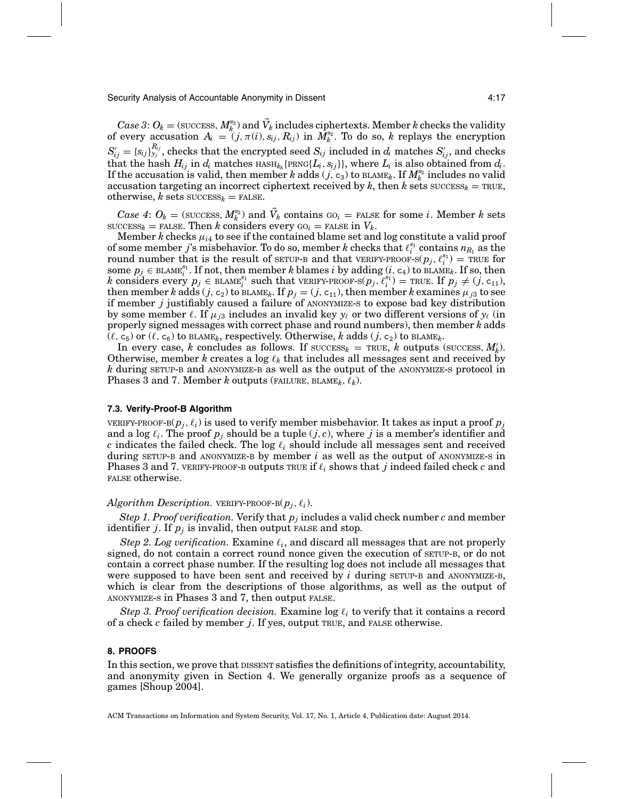Security Analysis of Accountable Anonymity in Dissent 4:17  $4:17$ 

 $Case\ 3\colon O_k = (\text{success}, M_k^{s_2}) \text{ and } \vec{V}_k \text{ includes ciphertexts. Member } k \text{ checks the validity }$ of every accusation  $A_i = (j, \pi(i), s_{ij}, R_{ij})$  in  $\vec{M}_k^{s_2}$ . To do so, *k* replays the encryption  $S'_{ij} = \{s_{ij}\}^{R_{ij}}_{y_j}$  , checks that the encrypted seed  $S_{ij}$  included in  $d_i$  matches  $S'_{ij}$ , and checks that the hash  $H_{ij}$  in  $d_i$  matches  $H_{kh}$  {PRNG{*L<sub>i</sub>*, *s<sub>ij</sub>*}}, where  $L_i$  is also obtained from  $d_i$ . If the accusation is valid, then member *k* adds  $(j, c_3)$  to BLAME<sub>k</sub>. If  $M_k^{s_2}$  includes no valid accusation targeting an incorrect ciphertext received by  $k$ , then  $k$  sets  $\text{success}_k = \text{true}$ , otherwise,  $k$  sets  $\text{success}_k = \text{FALSE}$ .

*Case 4*:  $O_k = (\text{success}, M_k^s)$  and  $\vec{V}_k$  contains  $GO_i = \text{FALSE for some } i$ . Member *k* sets  $\text{success}_k = \text{FALSE.}$  Then *k* considers every  $GO_i = \text{FALSE in } V_k$ .

Member  $k$  checks  $\mu_{i4}$  to see if the contained blame set and log constitute a valid proof of some member *j*'s misbehavior. To do so, member *k* checks that  $\ell_i^{s_1}$  contains  $n_{R_1}$  as the round number that is the result of SETUP-B and that VERIFY-PROOF-S $(p_j, \ell_i^{s_1}) =$ TRUE for some  $p_j \in \text{BLAME}_i^{s_1}$ . If not, then member *k* blames *i* by adding  $(i, c_4)$  to  $\text{BLAME}_k$ . If so, then *k* considers every  $p_j \in \text{BLAME}_i^{\text{S1}}$  such that VERIFY-PROOF-S $(p_j, \ell_i^{\text{S1}})$  = TRUE. If  $p_j \neq (j, c_{11})$ , then member *k* adds  $(j, c_2)$  to BLAME<sub>k</sub>. If  $p_j = (j, c_{11})$ , then member *k* examines  $\mu_{j3}$  to see if member *j* justifiably caused a failure of ANONYMIZE-S to expose bad key distribution by some member  $\ell$ . If  $\mu_{i3}$  includes an invalid key  $y_{\ell}$  or two different versions of  $y_{\ell}$  (in properly signed messages with correct phase and round numbers), then member *k* adds  $(\ell, c_5)$  or  $(\ell, c_6)$  to BLAME<sub>k</sub>, respectively. Otherwise, k adds  $(j, c_2)$  to BLAME<sub>k</sub>.

In every case, *k* concludes as follows. If  $\text{success}_k = \text{TRUE}, k$  outputs ( $\text{success}_k$ ,  $M'_k$ ). Otherwise, member *k* creates a log  $\ell_k$  that includes all messages sent and received by *k* during SETUP-B and ANONYMIZE-B as well as the output of the ANONYMIZE-S protocol in Phases 3 and 7. Member *k* outputs (FAILURE, BLAME<sub>k</sub>,  $\ell_k$ ).

# **7.3. Verify-Proof-B Algorithm**

VERIFY-PROOF-B( $p_j, \ell_i$ ) is used to verify member misbehavior. It takes as input a proof  $p_j$ and a log  $\ell_i$ . The proof  $p_j$  should be a tuple  $(j, c)$ , where j is a member's identifier and *c* indicates the failed check. The log  $\ell_i$  should include all messages sent and received during SETUP-B and ANONYMIZE-B by member *i* as well as the output of ANONYMIZE-S in Phases 3 and 7. VERIFY-PROOF-B outputs TRUE if  $\ell_i$  shows that *j* indeed failed check *c* and FALSE otherwise.

#### *Algorithm Description.* VERIFY-PROOF-B $(p_i, \ell_i)$ .

*Step 1. Proof verification.* Verify that *pj* includes a valid check number *c* and member identifier *j*. If  $p_j$  is invalid, then output FALSE and stop.

*Step 2. Log verification.* Examine  $\ell_i$ , and discard all messages that are not properly signed, do not contain a correct round nonce given the execution of SETUP-B, or do not contain a correct phase number. If the resulting log does not include all messages that were supposed to have been sent and received by  $i$  during  $SETUP-B$  and  $ANONMIZE-B$ , which is clear from the descriptions of those algorithms, as well as the output of ANONYMIZE-S in Phases 3 and 7, then output FALSE.

*Step 3. Proof verification decision.* Examine  $\log \ell_i$  to verify that it contains a record of a check *c* failed by member *j*. If yes, output TRUE, and FALSE otherwise.

#### **8. PROOFS**

In this section, we prove that DISSENT satisfies the definitions of integrity, accountability, and anonymity given in Section 4. We generally organize proofs as a sequence of games [Shoup 2004].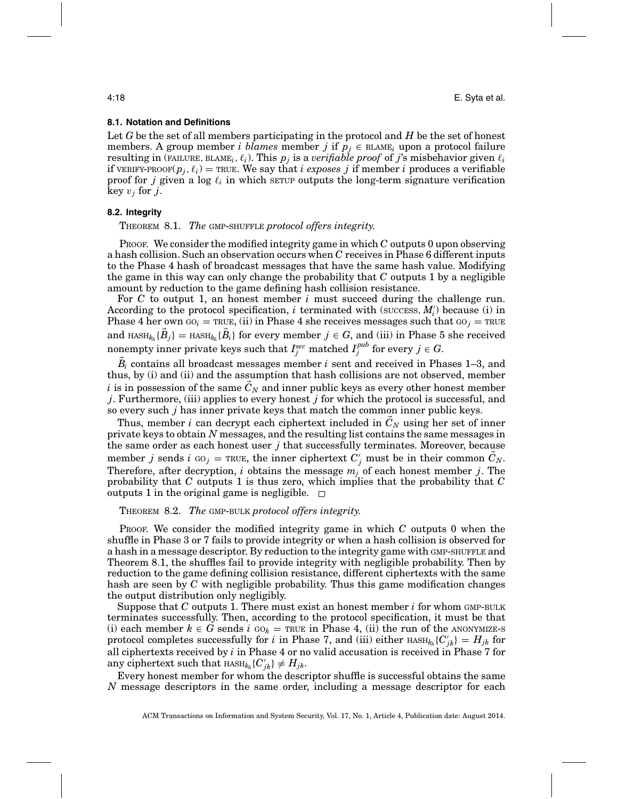# **8.1. Notation and Definitions**

Let *G* be the set of all members participating in the protocol and *H* be the set of honest members. A group member *i* blames member *j* if  $p_i \in B$ LAME<sub>i</sub> upon a protocol failure resulting in (FAILURE, BLAME<sub>i</sub>,  $\ell_i$ ). This  $p_j$  is a *verifiable proof* of *j*'s misbehavior given  $\ell_i$ if VERIFY-PROOF $(p_j, \ell_i)$  = TRUE. We say that *i exposes j* if member *i* produces a verifiable proof for *j* given a log  $\ell_i$  in which serve outputs the long-term signature verification key  $v_j$  for  $j$ .

# **8.2. Integrity**

THEOREM 8.1. *The* GMP-SHUFFLE *protocol offers integrity.*

PROOF. We consider the modified integrity game in which *C* outputs 0 upon observing a hash collision. Such an observation occurs when *C* receives in Phase 6 different inputs to the Phase 4 hash of broadcast messages that have the same hash value. Modifying the game in this way can only change the probability that *C* outputs 1 by a negligible amount by reduction to the game defining hash collision resistance.

For *C* to output 1, an honest member *i* must succeed during the challenge run. According to the protocol specification,  $i$  terminated with (SUCCESS,  $M'_{i}$ ) because (i) in Phase 4 her own  $\overline{GO_i} = \text{TRUE}$ , (ii) in Phase 4 she receives messages such that  $GO_j = \text{TRUE}$ and  $HASH_{k_h}{\bar{B}_i} = HASH_{k_h}{\bar{B}_i}$  for every member  $j \in G$ , and (iii) in Phase 5 she received  $j \in G$ . nonempty inner private keys such that  $I_j^{sec}$  matched  $I_j^{pub}$  for every  $j \in G$ .

*B<sup>i</sup>* contains all broadcast messages member *i* sent and received in Phases 1–3, and thus, by (i) and (ii) and the assumption that hash collisions are not observed, member *i* is in possession of the same *C<sup>N</sup>* and inner public keys as every other honest member *j*. Furthermore, (iii) applies to every honest *j* for which the protocol is successful, and so every such *j* has inner private keys that match the common inner public keys.

Thus, member *i* can decrypt each ciphertext included in *C<sup>N</sup>* using her set of inner private keys to obtain *N* messages, and the resulting list contains the same messages in the same order as each honest user *j* that successfully terminates. Moreover, because member *j* sends *i*  $GO_j = TRUE$ , the inner ciphertext  $C'_j$  must be in their common  $\vec{C}_N$ . Therefore, after decryption, *i* obtains the message  $m_i$  of each honest member *j*. The probability that *C* outputs 1 is thus zero, which implies that the probability that *C* outputs 1 in the original game is negligible.  $\Box$ 

#### THEOREM 8.2. *The* GMP-BULK *protocol offers integrity.*

PROOF. We consider the modified integrity game in which *C* outputs 0 when the shuffle in Phase 3 or 7 fails to provide integrity or when a hash collision is observed for a hash in a message descriptor. By reduction to the integrity game with GMP-SHUFFLE and Theorem 8.1, the shuffles fail to provide integrity with negligible probability. Then by reduction to the game defining collision resistance, different ciphertexts with the same hash are seen by *C* with negligible probability. Thus this game modification changes the output distribution only negligibly.

Suppose that *C* outputs 1. There must exist an honest member *i* for whom GMP-BULK terminates successfully. Then, according to the protocol specification, it must be that (i) each member  $k \in G$  sends  $i \cdot G_k$  = TRUE in Phase 4, (ii) the run of the ANONYMIZE-S protocol completes successfully for *i* in Phase 7, and (iii) either  $H_{k}$ ,  $\{C'_{jk}\} = H_{jk}$  for all ciphertexts received by *i* in Phase 4 or no valid accusation is received in Phase 7 for any ciphertext such that  $H_{k}$ <sub>*H*</sub> $(C'_{jk}) \neq H_{jk}$ .

Every honest member for whom the descriptor shuffle is successful obtains the same *N* message descriptors in the same order, including a message descriptor for each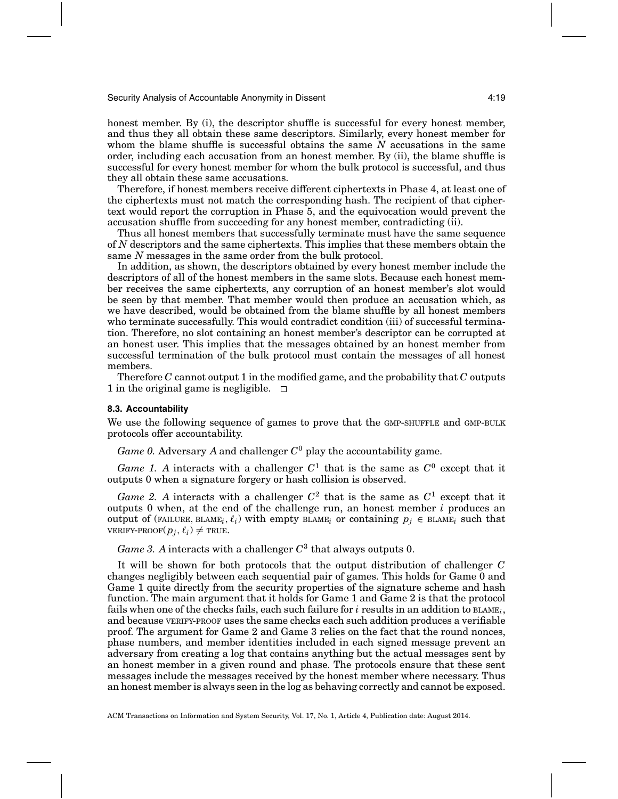Security Analysis of Accountable Anonymity in Dissent 4:19 4:19

honest member. By (i), the descriptor shuffle is successful for every honest member, and thus they all obtain these same descriptors. Similarly, every honest member for whom the blame shuffle is successful obtains the same *N* accusations in the same order, including each accusation from an honest member. By (ii), the blame shuffle is successful for every honest member for whom the bulk protocol is successful, and thus they all obtain these same accusations.

Therefore, if honest members receive different ciphertexts in Phase 4, at least one of the ciphertexts must not match the corresponding hash. The recipient of that ciphertext would report the corruption in Phase 5, and the equivocation would prevent the accusation shuffle from succeeding for any honest member, contradicting (ii).

Thus all honest members that successfully terminate must have the same sequence of *N* descriptors and the same ciphertexts. This implies that these members obtain the same *N* messages in the same order from the bulk protocol.

In addition, as shown, the descriptors obtained by every honest member include the descriptors of all of the honest members in the same slots. Because each honest member receives the same ciphertexts, any corruption of an honest member's slot would be seen by that member. That member would then produce an accusation which, as we have described, would be obtained from the blame shuffle by all honest members who terminate successfully. This would contradict condition (iii) of successful termination. Therefore, no slot containing an honest member's descriptor can be corrupted at an honest user. This implies that the messages obtained by an honest member from successful termination of the bulk protocol must contain the messages of all honest members.

Therefore *C* cannot output 1 in the modified game, and the probability that *C* outputs 1 in the original game is negligible.  $\Box$ 

#### **8.3. Accountability**

We use the following sequence of games to prove that the GMP-SHUFFLE and GMP-BULK protocols offer accountability.

*Game 0.* Adversary *A* and challenger  $C^0$  play the accountability game.

*Game 1. A* interacts with a challenger  $C<sup>1</sup>$  that is the same as  $C<sup>0</sup>$  except that it outputs 0 when a signature forgery or hash collision is observed.

*Game 2.* A interacts with a challenger  $C^2$  that is the same as  $C^1$  except that it outputs 0 when, at the end of the challenge run, an honest member *i* produces an output of (FAILURE, BLAME<sub>*i*</sub>,  $\ell_i$ ) with empty BLAME<sub>*i*</sub> or containing  $p_j \in$  BLAME<sub>*i*</sub> such that VERIFY-PROOF $(p_i, \ell_i) \neq \text{TRUE}.$ 

*Game 3. A* interacts with a challenger  $C^3$  that always outputs 0.

It will be shown for both protocols that the output distribution of challenger *C* changes negligibly between each sequential pair of games. This holds for Game 0 and Game 1 quite directly from the security properties of the signature scheme and hash function. The main argument that it holds for Game 1 and Game 2 is that the protocol fails when one of the checks fails, each such failure for  $i$  results in an addition to  $BLAME_i$ , and because VERIFY-PROOF uses the same checks each such addition produces a verifiable proof. The argument for Game 2 and Game 3 relies on the fact that the round nonces, phase numbers, and member identities included in each signed message prevent an adversary from creating a log that contains anything but the actual messages sent by an honest member in a given round and phase. The protocols ensure that these sent messages include the messages received by the honest member where necessary. Thus an honest member is always seen in the log as behaving correctly and cannot be exposed.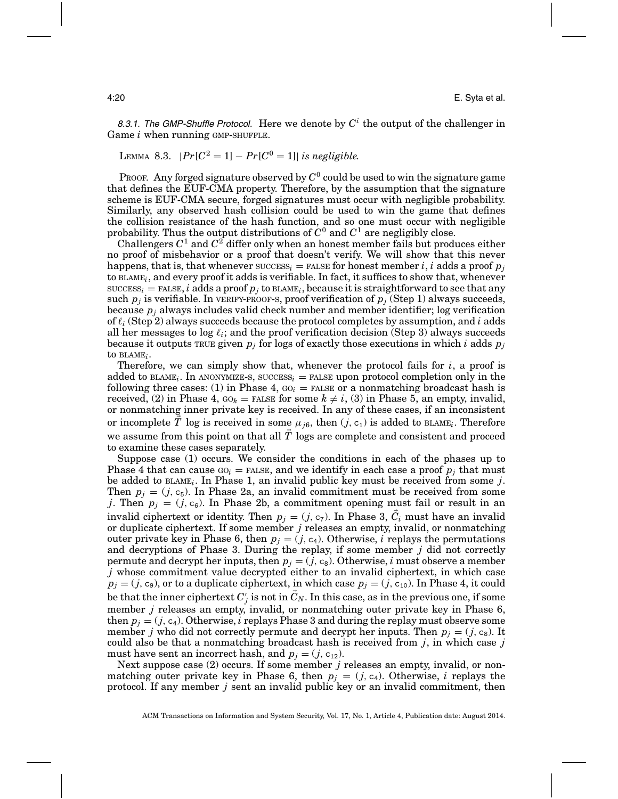8.3.1. The GMP-Shuffle Protocol. Here we denote by  $C<sup>i</sup>$  the output of the challenger in Game *i* when running GMP-SHUFFLE.

LEMMA 8.3.  $|Pr[C^2 = 1] - Pr[C^0 = 1]|$  *is negligible.* 

Proof. Any forged signature observed by  $C^0$  could be used to win the signature game that defines the EUF-CMA property. Therefore, by the assumption that the signature scheme is EUF-CMA secure, forged signatures must occur with negligible probability. Similarly, any observed hash collision could be used to win the game that defines the collision resistance of the hash function, and so one must occur with negligible probability. Thus the output distributions of  $C^0$  and  $C^1$  are negligibly close.

Challengers  $C^1$  and  $C^2$  differ only when an honest member fails but produces either no proof of misbehavior or a proof that doesn't verify. We will show that this never happens, that is, that whenever  $\text{success}_i = \text{FALSE for honest member } i, i$  adds a proof  $p_i$ to BLAME*i*, and every proof it adds is verifiable. In fact, it suffices to show that, whenever  $\text{success}_i = \text{FALSE}, i$  adds a proof  $p_j$  to BLAME<sub>i</sub>, because it is straightforward to see that any such  $p_i$  is verifiable. In VERIFY-PROOF-S, proof verification of  $p_i$  (Step 1) always succeeds, because  $p_i$  always includes valid check number and member identifier; log verification of *<sup>i</sup>* (Step 2) always succeeds because the protocol completes by assumption, and *i* adds all her messages to log  $\ell_i$ ; and the proof verification decision (Step 3) always succeeds because it outputs TRUE given  $p_j$  for logs of exactly those executions in which *i* adds  $p_j$ to BLAME*i*.

Therefore, we can simply show that, whenever the protocol fails for  $i$ , a proof is added to  $BLAME_i$ . In ANONYMIZE-S, SUCCESS<sub>i</sub> = FALSE upon protocol completion only in the following three cases: (1) in Phase 4,  $GO_i = FALSE$  or a nonmatching broadcast hash is received, (2) in Phase 4,  $\omega_k$  = FALSE for some  $k \neq i$ , (3) in Phase 5, an empty, invalid, or nonmatching inner private key is received. In any of these cases, if an inconsistent or incomplete *T* log is received in some  $\mu_{i6}$ , then  $(j, c_1)$  is added to BLAME<sub>i</sub>. Therefore we assume from this point on that all  $\overline{T}$  logs are complete and consistent and proceed to examine these cases separately.

Suppose case (1) occurs. We consider the conditions in each of the phases up to Phase 4 that can cause  $GO_i = FALSE$ , and we identify in each case a proof  $p_i$  that must be added to BLAME*i*. In Phase 1, an invalid public key must be received from some *j*. Then  $p_j = (j, c_5)$ . In Phase 2a, an invalid commitment must be received from some *j*. Then  $p_j = (j, c_6)$ . In Phase 2b, a commitment opening must fail or result in an invalid ciphertext or identity. Then  $p_j = (j, c_7)$ . In Phase 3,  $\tilde{C}_i$  must have an invalid or duplicate ciphertext. If some member *j* releases an empty, invalid, or nonmatching outer private key in Phase 6, then  $p_j = (j, c_4)$ . Otherwise, *i* replays the permutations and decryptions of Phase 3. During the replay, if some member *j* did not correctly permute and decrypt her inputs, then  $p_j = (j, c_8)$ . Otherwise, *i* must observe a member *j* whose commitment value decrypted either to an invalid ciphertext, in which case  $p_j = (j, c_9)$ , or to a duplicate ciphertext, in which case  $p_j = (j, c_{10})$ . In Phase 4, it could be that the inner ciphertext  $C_j'$  is not in  $\vec{C}_N.$  In this case, as in the previous one, if some member *j* releases an empty, invalid, or nonmatching outer private key in Phase 6, then  $p_j = (j, c_4)$ . Otherwise, *i* replays Phase 3 and during the replay must observe some member *j* who did not correctly permute and decrypt her inputs. Then  $p_j = (j, c_8)$ . It could also be that a nonmatching broadcast hash is received from *j*, in which case *j* must have sent an incorrect hash, and  $p_j = (j, c_{12})$ .

Next suppose case (2) occurs. If some member *j* releases an empty, invalid, or nonmatching outer private key in Phase 6, then  $p_i = (j, c_4)$ . Otherwise, *i* replays the protocol. If any member *j* sent an invalid public key or an invalid commitment, then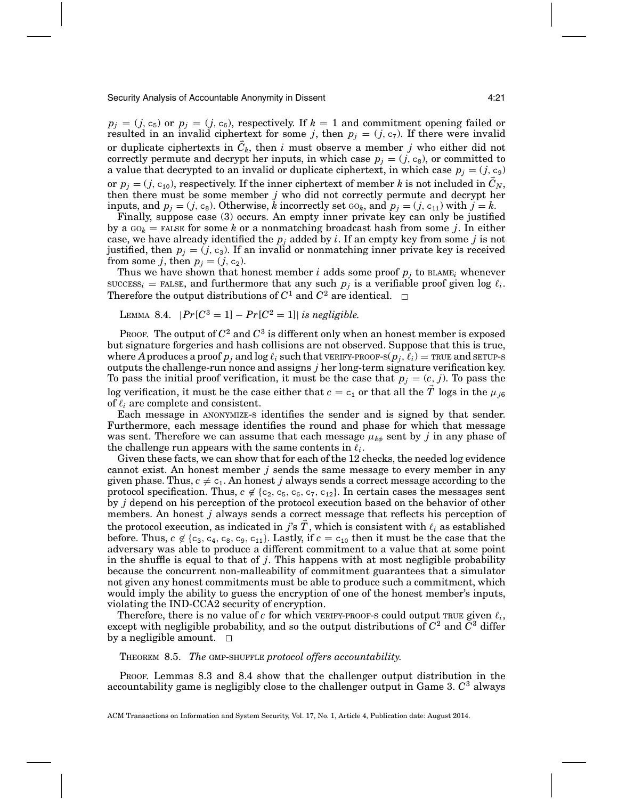Security Analysis of Accountable Anonymity in Dissent 4:21

 $p_j = (j, \epsilon_5)$  or  $p_j = (j, \epsilon_6)$ , respectively. If  $k = 1$  and commitment opening failed or resulted in an invalid ciphertext for some *j*, then  $p_i = (j, c_7)$ . If there were invalid or duplicate ciphertexts in  $\vec{C}_k$ , then *i* must observe a member *j* who either did not correctly permute and decrypt her inputs, in which case  $p_j = (j, c_8)$ , or committed to a value that decrypted to an invalid or duplicate ciphertext, in which case  $p_j = (j, c_9)$ or  $p_j = (j, c_{10})$ , respectively. If the inner ciphertext of member *k* is not included in  $\tilde{C}_N$ , then there must be some member *j* who did not correctly permute and decrypt her inputs, and  $p_j = (j, c_8)$ . Otherwise, *k* incorrectly set  $a_0$ , and  $p_j = (j, c_{11})$  with  $j = k$ .

Finally, suppose case (3) occurs. An empty inner private key can only be justified by a  $GO_k$  = FALSE for some k or a nonmatching broadcast hash from some j. In either case, we have already identified the  $p_i$  added by *i*. If an empty key from some *j* is not justified, then  $p_j = (j, c_3)$ . If an invalid or nonmatching inner private key is received from some *j*, then  $p_j = (j, c_2)$ .

Thus we have shown that honest member *i* adds some proof  $p_i$  to BLAME<sub>i</sub> whenever SUCCESS<sub>i</sub> = FALSE, and furthermore that any such  $p_j$  is a verifiable proof given log  $\ell_i$ . Therefore the output distributions of  $C^1$  and  $C^2$  are identical.  $\square$ 

LEMMA 8.4. 
$$
|Pr[C^3 = 1] - Pr[C^2 = 1]|
$$
 is negligible.

PROOF. The output of  $C^2$  and  $C^3$  is different only when an honest member is exposed but signature forgeries and hash collisions are not observed. Suppose that this is true, where *A* produces a proof  $p_i$  and  $\log \ell_i$  such that VERIFY-PROOF-S( $p_i$ ,  $\ell_i$ ) = TRUE and SETUP-S outputs the challenge-run nonce and assigns  $j$  her long-term signature verification key. To pass the initial proof verification, it must be the case that  $p_j = (c, j)$ . To pass the log verification, it must be the case either that  $c = c_1$  or that all the  $\vec{T}$  logs in the  $\mu_{i6}$ of  $\ell_i$  are complete and consistent.

Each message in ANONYMIZE-S identifies the sender and is signed by that sender. Furthermore, each message identifies the round and phase for which that message was sent. Therefore we can assume that each message  $\mu_{k\phi}$  sent by *j* in any phase of the challenge run appears with the same contents in  $\ell_i$ .

Given these facts, we can show that for each of the 12 checks, the needed log evidence cannot exist. An honest member *j* sends the same message to every member in any given phase. Thus,  $c \neq c_1$ . An honest *j* always sends a correct message according to the protocol specification. Thus,  $c \notin \{c_2, c_5, c_6, c_7, c_{12}\}\)$ . In certain cases the messages sent by *j* depend on his perception of the protocol execution based on the behavior of other members. An honest *j* always sends a correct message that reflects his perception of the protocol execution, as indicated in  $j$ 's  $T$ , which is consistent with  $\ell_i$  as established before. Thus,  $c \notin \{c_3, c_4, c_8, c_9, c_{11}\}\)$ . Lastly, if  $c = c_{10}$  then it must be the case that the adversary was able to produce a different commitment to a value that at some point in the shuffle is equal to that of *j*. This happens with at most negligible probability because the concurrent non-malleability of commitment guarantees that a simulator not given any honest commitments must be able to produce such a commitment, which would imply the ability to guess the encryption of one of the honest member's inputs, violating the IND-CCA2 security of encryption.

Therefore, there is no value of *c* for which VERIFY-PROOF-S could output TRUE given  $\ell_i$ , except with negligible probability, and so the output distributions of  $C^2$  and  $C^3$  differ by a negligible amount.  $\square$ 

#### THEOREM 8.5. *The* GMP-SHUFFLE *protocol offers accountability.*

PROOF. Lemmas 8.3 and 8.4 show that the challenger output distribution in the accountability game is negligibly close to the challenger output in Game 3. *C*<sup>3</sup> always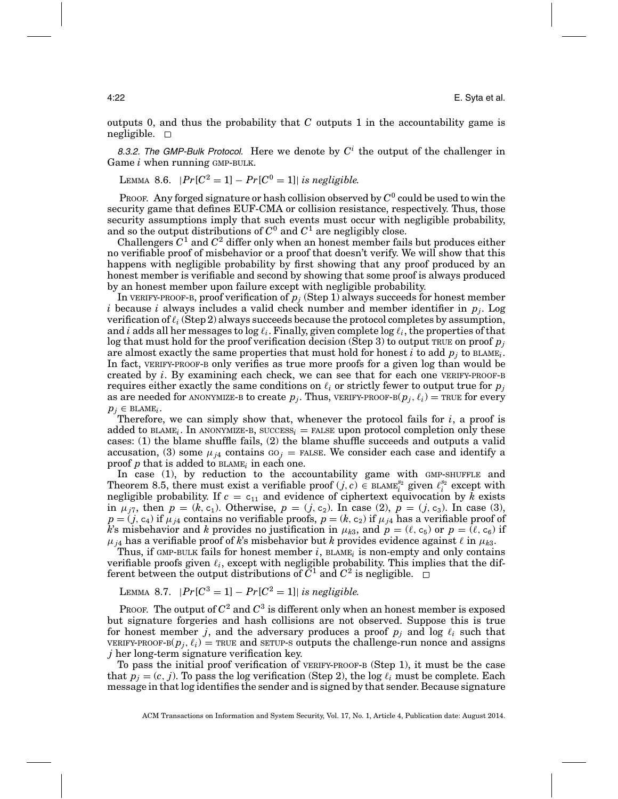outputs 0, and thus the probability that *C* outputs 1 in the accountability game is negligible. □

8.3.2. The GMP-Bulk Protocol. Here we denote by  $C^i$  the output of the challenger in Game *i* when running GMP-BULK.

LEMMA 8.6.  $|Pr[C^2 = 1] - Pr[C^0 = 1]|$  *is negligible.* 

PROOF. Any forged signature or hash collision observed by  $C^0$  could be used to win the security game that defines EUF-CMA or collision resistance, respectively. Thus, those security assumptions imply that such events must occur with negligible probability, and so the output distributions of  $C^0$  and  $C^1$  are negligibly close.

Challengers  $C^1$  and  $C^2$  differ only when an honest member fails but produces either no verifiable proof of misbehavior or a proof that doesn't verify. We will show that this happens with negligible probability by first showing that any proof produced by an honest member is verifiable and second by showing that some proof is always produced by an honest member upon failure except with negligible probability.

In VERIFY-PROOF-B, proof verification of  $p_j$  (Step 1) always succeeds for honest member *i* because *i* always includes a valid check number and member identifier in *pj*. Log verification of  $\ell_i$  (Step 2) always succeeds because the protocol completes by assumption, and *i* adds all her messages to log  $\ell_i$ . Finally, given complete log  $\ell_i$ , the properties of that log that must hold for the proof verification decision (Step 3) to output TRUE on proof  $p_j$ are almost exactly the same properties that must hold for honest  $i$  to add  $p_i$  to BLAME<sub>i</sub>. In fact, VERIFY-PROOF-B only verifies as true more proofs for a given log than would be created by *i*. By examining each check, we can see that for each one VERIFY-PROOF-B requires either exactly the same conditions on  $\ell_i$  or strictly fewer to output true for  $p_i$ as are needed for ANONYMIZE-B to create  $p_j$ . Thus, VERIFY-PROOF-B $(p_j, \ell_i)$  = TRUE for every  $p_j \in \text{BLAME}_i$ .

Therefore, we can simply show that, whenever the protocol fails for *i*, a proof is added to  $BLAME_i$ . In ANONYMIZE-B, SUCCESS<sub>i</sub> = FALSE upon protocol completion only these cases: (1) the blame shuffle fails, (2) the blame shuffle succeeds and outputs a valid accusation, (3) some  $\mu_{i4}$  contains  $\omega_i$  = FALSE. We consider each case and identify a proof *p* that is added to BLAME*<sup>i</sup>* in each one.

In case (1), by reduction to the accountability game with GMP-SHUFFLE and Theorem 8.5, there must exist a verifiable proof  $(j, c) \in \text{BLAME}_i^{s_2}$  given  $\ell_i^{s_2}$  except with negligible probability. If  $c = c_{11}$  and evidence of ciphertext equivocation by k exists in  $\mu_{i7}$ , then  $p = (k, c_1)$ . Otherwise,  $p = (j, c_2)$ . In case (2),  $p = (j, c_3)$ . In case (3),  $p = (j, c_4)$  if  $\mu_{i4}$  contains no verifiable proofs,  $p = (k, c_2)$  if  $\mu_{i4}$  has a verifiable proof of *k*'s misbehavior and *k* provides no justification in  $\mu_{k3}$ , and  $p = (\ell, c_5)$  or  $p = (\ell, c_6)$  if  $\mu_{i4}$  has a verifiable proof of *k*'s misbehavior but *k* provides evidence against  $\ell$  in  $\mu_{k3}$ .

Thus, if GMP-BULK fails for honest member  $i$ , BLAME<sub>i</sub> is non-empty and only contains verifiable proofs given  $\ell_i$ , except with negligible probability. This implies that the different between the output distributions of  $C^1$  and  $C^2$  is negligible.

LEMMA 8.7.  $|Pr[C^3 = 1] - Pr[C^2 = 1]|$  *is negligible.* 

PROOF. The output of  $C^2$  and  $C^3$  is different only when an honest member is exposed but signature forgeries and hash collisions are not observed. Suppose this is true for honest member *j*, and the adversary produces a proof  $p_j$  and log  $\ell_i$  such that VERIFY-PROOF-B( $p_i, \ell_i$ ) = TRUE and SETUP-S outputs the challenge-run nonce and assigns *j* her long-term signature verification key.

To pass the initial proof verification of VERIFY-PROOF-B (Step 1), it must be the case that  $p_j = (c, j)$ . To pass the log verification (Step 2), the log  $\ell_i$  must be complete. Each message in that log identifies the sender and is signed by that sender. Because signature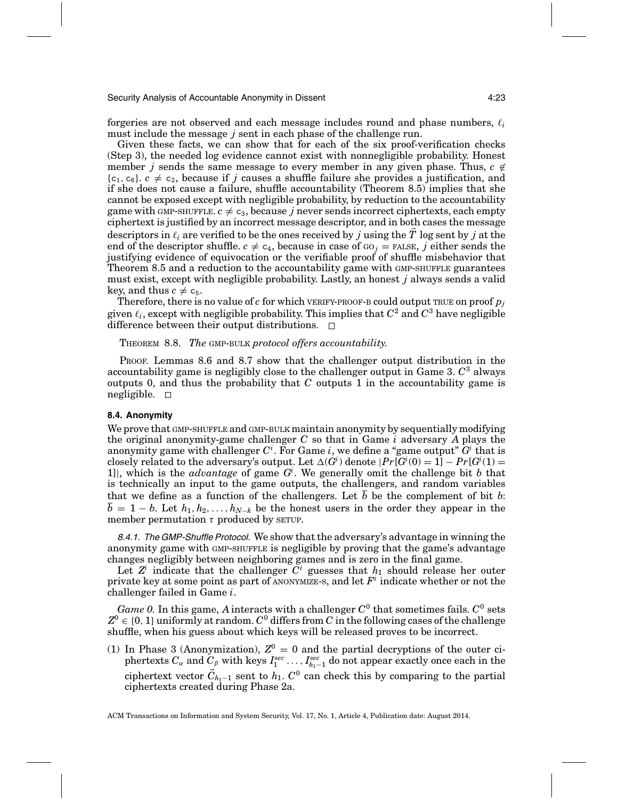forgeries are not observed and each message includes round and phase numbers,  $\ell_i$ must include the message *j* sent in each phase of the challenge run.

Given these facts, we can show that for each of the six proof-verification checks (Step 3), the needed log evidence cannot exist with nonnegligible probability. Honest member *j* sends the same message to every member in any given phase. Thus,  $c \notin$  $\{c_1, c_6\}$ .  $c \neq c_2$ , because if *j* causes a shuffle failure she provides a justification, and if she does not cause a failure, shuffle accountability (Theorem 8.5) implies that she cannot be exposed except with negligible probability, by reduction to the accountability game with GMP-SHUFFLE.  $c \neq c_3$ , because *j* never sends incorrect ciphertexts, each empty ciphertext is justified by an incorrect message descriptor, and in both cases the message descriptors in  $\ell_i$  are verified to be the ones received by *j* using the  $\overline{T}$  log sent by *j* at the end of the descriptor shuffle.  $c \neq c_4$ , because in case of  $\omega_j = \text{FALSE}, j$  either sends the justifying evidence of equivocation or the verifiable proof of shuffle misbehavior that Theorem 8.5 and a reduction to the accountability game with GMP-SHUFFLE guarantees must exist, except with negligible probability. Lastly, an honest *j* always sends a valid key, and thus  $c \neq c_5$ .

Therefore, there is no value of  $c$  for which VERIFY-PROOF-B could output TRUE on proof  $p_j$ given  $\ell_i$ , except with negligible probability. This implies that  $C^2$  and  $C^3$  have negligible difference between their output distributions.  $\Box$ 

# THEOREM 8.8. *The* GMP-BULK *protocol offers accountability.*

PROOF. Lemmas 8.6 and 8.7 show that the challenger output distribution in the accountability game is negligibly close to the challenger output in Game 3. *C*<sup>3</sup> always outputs 0, and thus the probability that *C* outputs 1 in the accountability game is negligible. □

# **8.4. Anonymity**

We prove that GMP-SHUFFLE and GMP-BULK maintain anonymity by sequentially modifying the original anonymity-game challenger *C* so that in Game *i* adversary *A* plays the anonymity game with challenger *C<sup>i</sup>* . For Game *i*, we define a "game output" *Gi* that is closely related to the adversary's output. Let  $\Delta(G^i)$  denote  $|Pr[G^i(0) = 1] - Pr[G^i(1) = 1]$ 1]|, which is the *advantage* of game *Gi* . We generally omit the challenge bit *b* that is technically an input to the game outputs, the challengers, and random variables that we define as a function of the challengers. Let  $\bar{b}$  be the complement of bit *b*:  $\overline{b} = 1 - b$ . Let  $h_1, h_2, \ldots, h_{N-k}$  be the honest users in the order they appear in the member permutation  $\tau$  produced by SETUP.

8.4.1. The GMP-Shuffle Protocol. We show that the adversary's advantage in winning the anonymity game with GMP-SHUFFLE is negligible by proving that the game's advantage changes negligibly between neighboring games and is zero in the final game.

Let  $Z^i$  indicate that the challenger  $C^i$  guesses that  $h_1$  should release her outer private key at some point as part of ANONYMIZE-S, and let  $F<sup>i</sup>$  indicate whether or not the challenger failed in Game *i*.

*Game 0.* In this game, *A* interacts with a challenger  $C^0$  that sometimes fails.  $C^0$  sets  $Z^0 \in \{0, 1\}$  uniformly at random.  $C^0$  differs from *C* in the following cases of the challenge shuffle, when his guess about which keys will be released proves to be incorrect.

(1) In Phase 3 (Anonymization),  $Z^0 = 0$  and the partial decryptions of the outer ci $p$ hertexts  $C_\alpha$  and  $C_\beta$  with keys  $I_1^{sec}\ldots,I_{h_1-1}^{sec}$  do not appear exactly once each in the ciphertext vector  $\vec{C}_{h_1-1}$  sent to  $h_1$ .  $C^0$  can check this by comparing to the partial ciphertexts created during Phase 2a.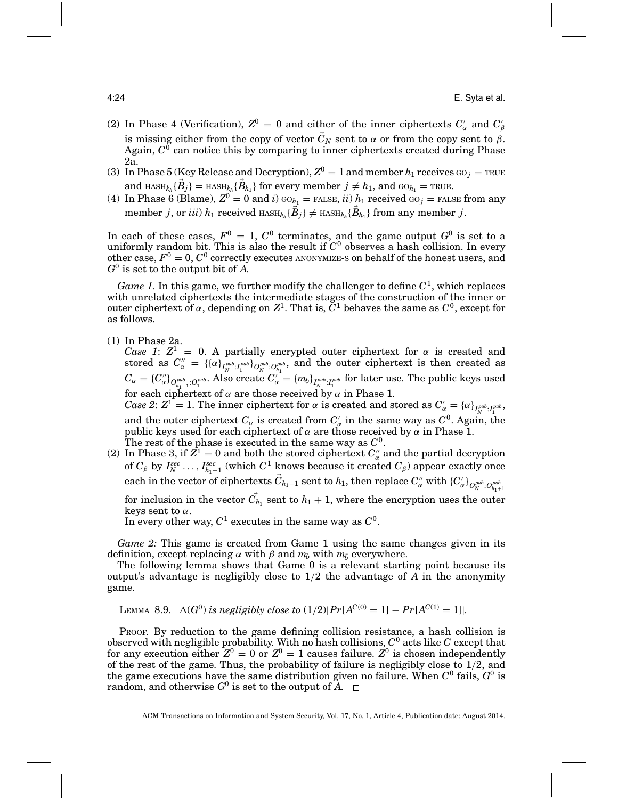- (2) In Phase 4 (Verification),  $Z^0 = 0$  and either of the inner ciphertexts  $C'_\alpha$  and  $C'_\beta$ is missing either from the copy of vector  $\vec{C}_N$  sent to  $\alpha$  or from the copy sent to  $\beta$ . Again,  $C^0$  can notice this by comparing to inner ciphertexts created during Phase 2a.
- (3) In Phase 5 (Key Release and Decryption),  $Z^0 = 1$  and member  $h_1$  receives  $GO_j = TRUE$ and  $H_{k}$  $\{\vec{B}_j\}$  =  $H_{k}$  $\{B_{h_1}\}\$  for every member  $j \neq h_1$ , and  $G_{k}$  = TRUE.
- (4) In Phase 6 (Blame),  $Z^{0} = 0$  and *i*)  $\omega_{h_1} = \text{FALSE}, i i j h_1$  received  $\omega_{0j} = \text{FALSE from any}$ member *j*, or *iii*)  $h_1$  received  $HASH_{kh}(\tilde{B}_j) \neq HASH_{kh}(\tilde{B}_{h_1})$  from any member *j*.

In each of these cases,  $F^0 = 1$ ,  $C^0$  terminates, and the game output  $G^0$  is set to a uniformly random bit. This is also the result if  $C^0$  observes a hash collision. In every other case,  $F^0 = 0, C^0$  correctly executes ANONYMIZE-S on behalf of the honest users, and *G*<sup>0</sup> is set to the output bit of *A*.

*Game 1.* In this game, we further modify the challenger to define *C*1, which replaces with unrelated ciphertexts the intermediate stages of the construction of the inner or outer ciphertext of  $\alpha$ , depending on  $Z^1$ . That is,  $C^1$  behaves the same as  $C^0$ , except for as follows.

(1) In Phase 2a.

*Case 1*:  $Z^1 = 0$ . A partially encrypted outer ciphertext for  $\alpha$  is created and stored as  $C''_{\alpha} = {\{\alpha\}}_{I_N^{pub}.I_N^{pub}}\}_{Q_N^{pub},Q_{h_1}^{pub}}$ , and the outer ciphertext is then created as  $C_{\alpha} = \{C''_{\alpha}\}_{O_{k_1-1}^{\text{pub}}}:O_1^{\text{pub}}. \text{ Also create } C'_{\alpha} = \{m_b\}_{I^{\text{pub}}_N : I^{\text{pub}}_1}^{\text{pub}} \text{ for later use. The public keys used}$ for each ciphertext of  $\alpha$  are those received by  $\alpha$  in Phase 1.  $Case \ 2 \colon Z^1 = 1.$  The inner ciphertext for  $\alpha$  is created and stored as  $C'_\alpha = \{\alpha\}_{I_N^{pub} : I_1^{pub}}$ and the outer ciphertext  $C_{\alpha}$  is created from  $C'_{\alpha}$  in the same way as  $C^0$ . Again, the public keys used for each ciphertext of  $\alpha$  are those received by  $\alpha$  in Phase 1.

The rest of the phase is executed in the same way as *C*0.

(2) In Phase 3, if  $Z^1 = 0$  and both the stored ciphertext  $C''_{\alpha}$  and the partial decryption of  $C_\beta$  by  $I_N^{sec}\ldots,I_{h_1-1}^{sec}$  (which  $C^1$  knows because it created  $C_\beta$ ) appear exactly once  $\epsilon$  cach in the vector of ciphertexts  $\vec{C}_{h_1-1}$  sent to  $h_1$ , then replace  $C_\alpha''$  with  $\{C_\alpha'\}_{O_N^{pub} : O_{h_1+1}^{pub} }$ for inclusion in the vector  $\vec{C}_{h_1}$  sent to  $h_1 + 1$ , where the encryption uses the outer keys sent to  $\alpha$ .

In every other way,  $C^1$  executes in the same way as  $C^0$ .

*Game 2:* This game is created from Game 1 using the same changes given in its definition, except replacing  $\alpha$  with  $\beta$  and  $m_b$  with  $m_{\bar{b}}$  everywhere.

The following lemma shows that Game 0 is a relevant starting point because its output's advantage is negligibly close to 1/2 the advantage of *A* in the anonymity game.

LEMMA 8.9.  $\Delta(G^0)$  *is negligibly close to*  $(1/2)|Pr[A^{C(0)} = 1] - Pr[A^{C(1)} = 1]$ *.* 

PROOF. By reduction to the game defining collision resistance, a hash collision is observed with negligible probability. With no hash collisions, *C*<sup>0</sup> acts like *C* except that for any execution either  $Z^0 = 0$  or  $Z^0 = 1$  causes failure.  $Z^0$  is chosen independently of the rest of the game. Thus, the probability of failure is negligibly close to 1/2, and the game executions have the same distribution given no failure. When *C*<sup>0</sup> fails, *G*<sup>0</sup> is random, and otherwise  $G^0$  is set to the output of  $\overline{A}$ .  $\Box$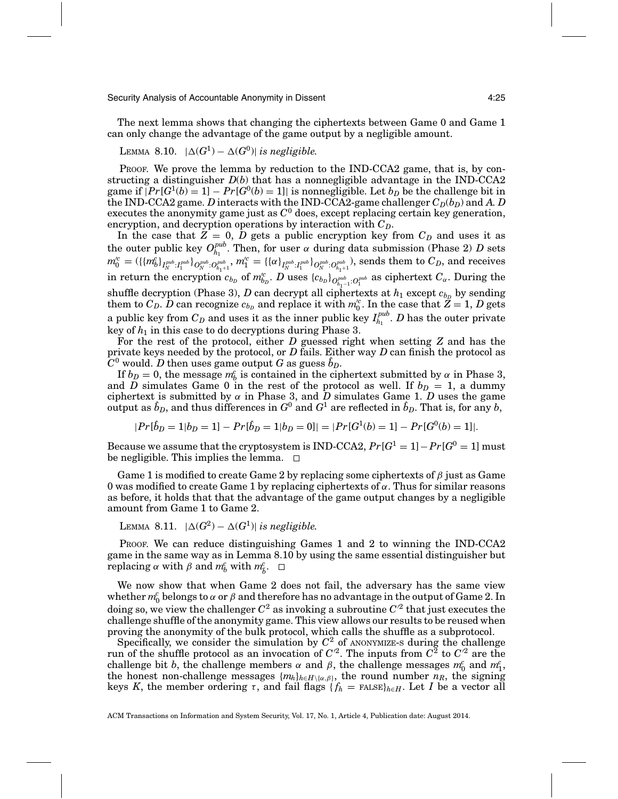Security Analysis of Accountable Anonymity in Dissent 4:25

The next lemma shows that changing the ciphertexts between Game 0 and Game 1 can only change the advantage of the game output by a negligible amount.

LEMMA 8.10.  $|\Delta(G^1) - \Delta(G^0)|$  *is negligible.* 

PROOF. We prove the lemma by reduction to the IND-CCA2 game, that is, by constructing a distinguisher  $D(b)$  that has a nonnegligible advantage in the IND-CCA2 game if  $|Pr[G^1(b) = 1] - Pr[G^0(b) = 1]|$  is nonnegligible. Let  $b_D$  be the challenge bit in the IND-CCA2 game. *D* interacts with the IND-CCA2-game challenger  $C_D(b_D)$  and A. *D* executes the anonymity game just as  $C^0$  does, except replacing certain key generation, encryption, and decryption operations by interaction with  $C_D$ .

In the case that  $Z = 0$ , *D* gets a public encryption key from  $C<sub>D</sub>$  and uses it as the outer public key  $O_{h_1}^{pub}$ . Then, for user  $\alpha$  during data submission (Phase 2)  $D$  sets  $m_0^{\prime c}=(\{\{m_b^c\}_{I_N^{pub},I_1^{pub}}\}_{O_N^{pub},O_{R_1+1}^{pub}},~m_1^{\prime c}=\{\{\alpha\}_{I_N^{pub},I_1^{pub}\}_{O_N^{pub},O_{R_1+1}^{pub}}\},~{\rm sends~them~to}~C_D,~{\rm and~ receives}$  $\int_{b_D}$  of  $m_{b_D}^{\prime c}$ . *D* uses  $\{c_{b_D}\}_{O_{h_1-1}^{\rho \mu b}}^{\rho \mu b}$  as ciphertext  $C_\alpha$ . During the shuffle decryption (Phase 3),  $D$  can decrypt all ciphertexts at  $h_1$  except  $c_{b_D}$  by sending them to  $C_D$ .  $\bar{D}$  can recognize  $c_{b_D}$  and replace it with  $m_0^c$ . In the case that  $\bar{Z} = 1$ ,  $D$  gets a public key from  $C_D$  and uses it as the inner public key  $I_{h_1}^{pub}$ .  $D$  has the outer private key of  $h_1$  in this case to do decryptions during Phase 3.

For the rest of the protocol, either *D* guessed right when setting *Z* and has the private keys needed by the protocol, or *D* fails. Either way *D* can finish the protocol as  $C^0$  would. *D* then uses game output *G* as guess  $\hat{b}_D$ .

If  $b_D = 0$ , the message  $m_b^c$  is contained in the ciphertext submitted by  $\alpha$  in Phase 3, and *D* simulates Game 0 in the rest of the protocol as well. If  $b_D = 1$ , a dummy ciphertext is submitted by  $\alpha$  in Phase 3, and  $\overline{D}$  simulates Game 1.  $D$  uses the game output as  $\hat{b}_D$ , and thus differences in  $G^0$  and  $G^1$  are reflected in  $\hat{b}_D$ . That is, for any *b*,

$$
|Pr[\hat{b}_D = 1 | b_D = 1] - Pr[\hat{b}_D = 1 | b_D = 0]| = |Pr[G^1(b) = 1] - Pr[G^0(b) = 1]|.
$$

Because we assume that the cryptosystem is IND-CCA2,  $Pr[G^1 = 1] - Pr[G^0 = 1]$  must be negligible. This implies the lemma.

Game 1 is modified to create Game 2 by replacing some ciphertexts of  $\beta$  just as Game 0 was modified to create Game 1 by replacing ciphertexts of  $\alpha$ . Thus for similar reasons as before, it holds that that the advantage of the game output changes by a negligible amount from Game 1 to Game 2.

LEMMA 8.11. 
$$
|\Delta(G^2) - \Delta(G^1)|
$$
 is negligible.

PROOF. We can reduce distinguishing Games 1 and 2 to winning the IND-CCA2 game in the same way as in Lemma 8.10 by using the same essential distinguisher but  $\mathbf{replacing}\ \alpha\ \text{with}\ \beta\ \text{and}\ m_b^c\ \text{with}\ m_b^c.$ 

We now show that when Game 2 does not fail, the adversary has the same view whether  $m_0^c$  belongs to  $\alpha$  or  $\beta$  and therefore has no advantage in the output of Game 2. In doing so, we view the challenger  $C^2$  as invoking a subroutine  $C^{\prime 2}$  that just executes the challenge shuffle of the anonymity game. This view allows our results to be reused when proving the anonymity of the bulk protocol, which calls the shuffle as a subprotocol.

Specifically, we consider the simulation by  $C<sup>2</sup>$  of ANONYMIZE-S during the challenge run of the shuffle protocol as an invocation of  $C^2$ . The inputs from  $C^2$  to  $C^2$  are the challenge bit *b*, the challenge members  $\alpha$  and  $\beta$ , the challenge messages  $m_0^c$  and  $m_1^c$ , the honest non-challenge messages  $\{m_h\}_{h \in H \setminus {\{\alpha,\beta\}}},$  the round number  $n_R$ , the signing keys *K*, the member ordering  $\tau$ , and fail flags  $\{f_h = \text{FALSE}\}_{h \in H}$ . Let *I* be a vector all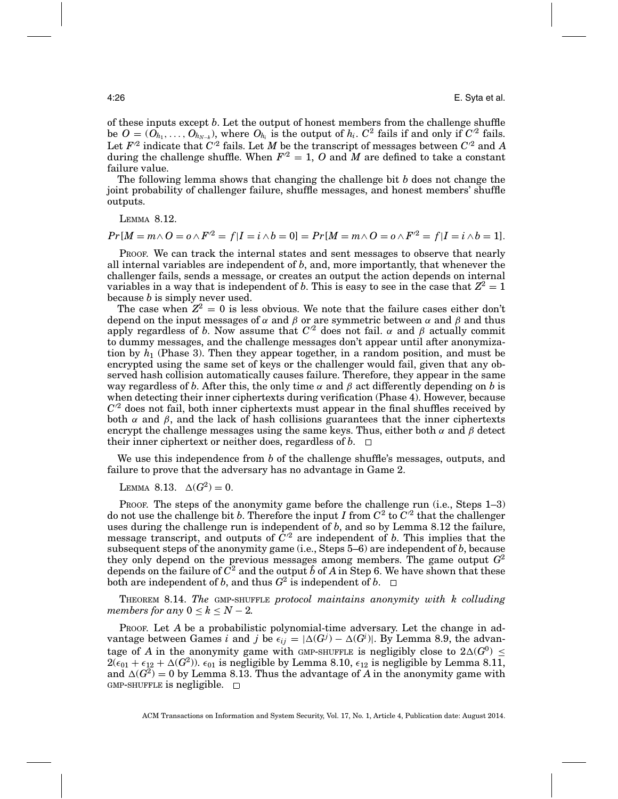of these inputs except *b*. Let the output of honest members from the challenge shuffle be  $O = (\tilde{O}_{h_1}, \ldots, \tilde{O}_{h_{N-k}})$ , where  $O_{h_i}$  is the output of  $h_i$ .  $C^2$  fails if and only if  $C'^2$  fails. Let  $F^2$  indicate that  $C^2$  fails. Let *M* be the transcript of messages between  $C^2$  and *A* during the challenge shuffle. When  $F^2 = 1$ , O and M are defined to take a constant failure value.

The following lemma shows that changing the challenge bit *b* does not change the joint probability of challenger failure, shuffle messages, and honest members' shuffle outputs.

LEMMA 8.12.

 $Pr[M = m \wedge O = o \wedge F'^2 = f|I = i \wedge b = 0] = Pr[M = m \wedge O = o \wedge F'^2 = f|I = i \wedge b = 1].$ 

PROOF. We can track the internal states and sent messages to observe that nearly all internal variables are independent of *b*, and, more importantly, that whenever the challenger fails, sends a message, or creates an output the action depends on internal variables in a way that is independent of *b*. This is easy to see in the case that  $Z^2 = 1$ because *b* is simply never used.

The case when  $Z^2 = 0$  is less obvious. We note that the failure cases either don't depend on the input messages of  $\alpha$  and  $\beta$  or are symmetric between  $\alpha$  and  $\beta$  and thus apply regardless of *b*. Now assume that  $C^2$  does not fail.  $\alpha$  and  $\beta$  actually commit to dummy messages, and the challenge messages don't appear until after anonymization by  $h_1$  (Phase 3). Then they appear together, in a random position, and must be encrypted using the same set of keys or the challenger would fail, given that any observed hash collision automatically causes failure. Therefore, they appear in the same way regardless of *b*. After this, the only time  $\alpha$  and  $\beta$  act differently depending on *b* is when detecting their inner ciphertexts during verification (Phase 4). However, because  $C<sup>2</sup>$  does not fail, both inner ciphertexts must appear in the final shuffles received by both  $\alpha$  and  $\beta$ , and the lack of hash collisions guarantees that the inner ciphertexts encrypt the challenge messages using the same keys. Thus, either both  $\alpha$  and  $\beta$  detect their inner ciphertext or neither does, regardless of  $b$ .  $\Box$ 

We use this independence from *b* of the challenge shuffle's messages, outputs, and failure to prove that the adversary has no advantage in Game 2.

LEMMA 8.13.  $\Delta(G^2) = 0$ .

PROOF. The steps of the anonymity game before the challenge run (i.e., Steps 1–3) do not use the challenge bit *b*. Therefore the input *I* from  $C^2$  to  $C^2$  that the challenger uses during the challenge run is independent of *b*, and so by Lemma 8.12 the failure, message transcript, and outputs of  $C<sup>2</sup>$  are independent of *b*. This implies that the subsequent steps of the anonymity game (i.e., Steps 5–6) are independent of *b*, because they only depend on the previous messages among members. The game output  $G<sup>2</sup>$ depends on the failure of  $\overline{C}^2$  and the output  $\hat{b}$  of A in Step 6. We have shown that these both are independent of *b*, and thus  $G^2$  is independent of *b*.  $\Box$ 

THEOREM 8.14. *The* GMP-SHUFFLE *protocol maintains anonymity with k colluding members for any*  $0 \leq k \leq N-2$ .

PROOF. Let *A* be a probabilistic polynomial-time adversary. Let the change in advantage between Games *i* and *j* be  $\epsilon_{ij} = |\Delta(G^{j}) - \Delta(G^{i})|$ . By Lemma 8.9, the advantage of *A* in the anonymity game with GMP-SHUFFLE is negligibly close to  $2\Delta(G^0) \leq$  $2(\epsilon_{01} + \epsilon_{12} + \Delta(G^2))$ .  $\epsilon_{01}$  is negligible by Lemma 8.10,  $\epsilon_{12}$  is negligible by Lemma 8.11, and  $\Delta(G^2) = 0$  by Lemma 8.13. Thus the advantage of *A* in the anonymity game with GMP-SHUFFLE is negligible.  $\square$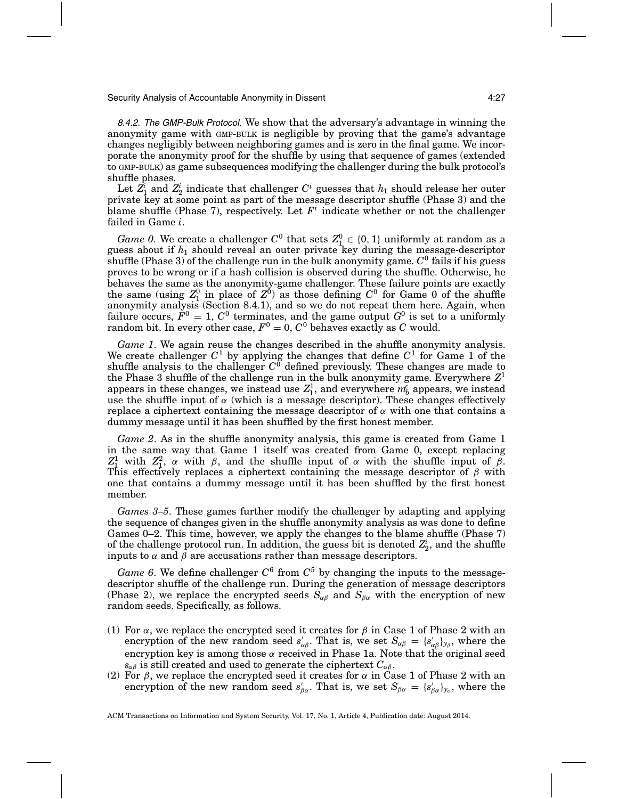Security Analysis of Accountable Anonymity in Dissent 4:27

8.4.2. The GMP-Bulk Protocol. We show that the adversary's advantage in winning the anonymity game with GMP-BULK is negligible by proving that the game's advantage changes negligibly between neighboring games and is zero in the final game. We incorporate the anonymity proof for the shuffle by using that sequence of games (extended to GMP-BULK) as game subsequences modifying the challenger during the bulk protocol's shuffle phases.

Let  $Z_1^i$  and  $Z_2^i$  indicate that challenger  $C^i$  guesses that  $h_1$  should release her outer private key at some point as part of the message descriptor shuffle (Phase 3) and the blame shuffle (Phase 7), respectively. Let *F<sup>i</sup>* indicate whether or not the challenger failed in Game *i*.

*Game 0.* We create a challenger  $C^0$  that sets  $Z_1^0 \in \{0, 1\}$  uniformly at random as a guess about if *h*<sup>1</sup> should reveal an outer private key during the message-descriptor shuffle (Phase 3) of the challenge run in the bulk anonymity game.  $C^0$  fails if his guess proves to be wrong or if a hash collision is observed during the shuffle. Otherwise, he behaves the same as the anonymity-game challenger. These failure points are exactly the same (using  $Z_1^0$  in place of  $Z^0$ ) as those defining  $C^0$  for Game 0 of the shuffle anonymity analysis (Section 8.4.1), and so we do not repeat them here. Again, when failure occurs,  $F^0 = 1$ ,  $C^0$  terminates, and the game output  $G^0$  is set to a uniformly random bit. In every other case,  $F^0 = 0$ ,  $C^0$  behaves exactly as C would.

*Game 1*. We again reuse the changes described in the shuffle anonymity analysis. We create challenger  $C^1$  by applying the changes that define  $C^1$  for Game 1 of the shuffle analysis to the challenger  $C^0$  defined previously. These changes are made to the Phase 3 shuffle of the challenge run in the bulk anonymity game. Everywhere *Z*<sup>1</sup> appears in these changes, we instead use  $Z_1^1$ , and everywhere  $m_b^c$  appears, we instead use the shuffle input of  $\alpha$  (which is a message descriptor). These changes effectively replace a ciphertext containing the message descriptor of  $\alpha$  with one that contains a dummy message until it has been shuffled by the first honest member.

*Game 2*. As in the shuffle anonymity analysis, this game is created from Game 1 in the same way that Game 1 itself was created from Game 0, except replacing  $Z_1^1$  with  $Z_1^2$ , α with β, and the shuffle input of α with the shuffle input of β. This effectively replaces a ciphertext containing the message descriptor of  $\beta$  with one that contains a dummy message until it has been shuffled by the first honest member.

*Games 3–5*. These games further modify the challenger by adapting and applying the sequence of changes given in the shuffle anonymity analysis as was done to define Games 0–2. This time, however, we apply the changes to the blame shuffle (Phase 7) of the challenge protocol run. In addition, the guess bit is denoted  $Z_2^i$ , and the shuffle inputs to  $\alpha$  and  $\beta$  are accusations rather than message descriptors.

*Game 6*. We define challenger  $C^6$  from  $C^5$  by changing the inputs to the messagedescriptor shuffle of the challenge run. During the generation of message descriptors (Phase 2), we replace the encrypted seeds  $S_{\alpha\beta}$  and  $S_{\beta\alpha}$  with the encryption of new random seeds. Specifically, as follows.

- (1) For  $\alpha$ , we replace the encrypted seed it creates for  $\beta$  in Case 1 of Phase 2 with an encryption of the new random seed  $s'_{\alpha\beta}$ . That is, we set  $S_{\alpha\beta} = \{s'_{\alpha\beta}\}_{\gamma\beta}$ , where the encryption key is among those  $\alpha$  received in Phase 1a. Note that the original seed  $s_{\alpha\beta}$  is still created and used to generate the ciphertext  $C_{\alpha\beta}$ .
- (2) For  $\beta$ , we replace the encrypted seed it creates for  $\alpha$  in Case 1 of Phase 2 with an encryption of the new random seed  $s'_{\beta\alpha}$ . That is, we set  $S_{\beta\alpha} = \{s'_{\beta\alpha}\}_{\beta\alpha}$ , where the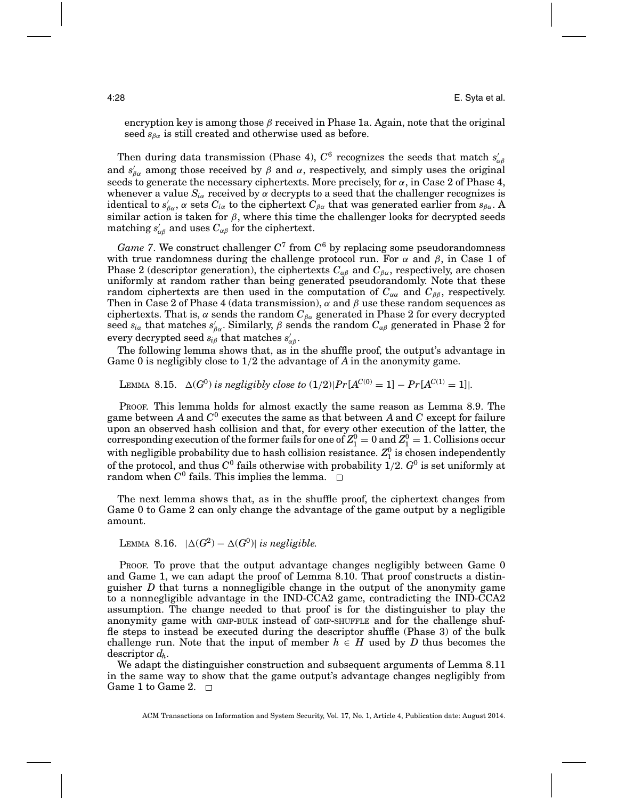encryption key is among those  $\beta$  received in Phase 1a. Again, note that the original seed  $s_{\beta\alpha}$  is still created and otherwise used as before.

Then during data transmission (Phase 4),  $C^6$  recognizes the seeds that match  $s'_{\alpha\beta}$ and  $s'_{\beta\alpha}$  among those received by  $\beta$  and  $\alpha$ , respectively, and simply uses the original seeds to generate the necessary ciphertexts. More precisely, for  $\alpha$ , in Case 2 of Phase 4, whenever a value  $S_{i\alpha}$  received by  $\alpha$  decrypts to a seed that the challenger recognizes is identical to  $s'_{\beta\alpha}$ ,  $\alpha$  sets  $C_{i\alpha}$  to the ciphertext  $C_{\beta\alpha}$  that was generated earlier from  $s_{\beta\alpha}$ . A similar action is taken for  $\beta$ , where this time the challenger looks for decrypted seeds matching  $s'_{\alpha\beta}$  and uses  $C_{\alpha\beta}$  for the ciphertext.

*Game 7.* We construct challenger  $C^7$  from  $C^6$  by replacing some pseudorandomness with true randomness during the challenge protocol run. For  $\alpha$  and  $\beta$ , in Case 1 of Phase 2 (descriptor generation), the ciphertexts  $C_{\alpha\beta}$  and  $C_{\beta\alpha}$ , respectively, are chosen uniformly at random rather than being generated pseudorandomly. Note that these random ciphertexts are then used in the computation of  $C_{\alpha\alpha}$  and  $C_{\beta\beta}$ , respectively. Then in Case 2 of Phase 4 (data transmission),  $\alpha$  and  $\beta$  use these random sequences as ciphertexts. That is,  $\alpha$  sends the random  $C_{\beta\alpha}$  generated in Phase 2 for every decrypted seed  $s_{i\alpha}$  that matches  $s'_{\beta\alpha}$ . Similarly,  $\beta$  sends the random  $C_{\alpha\beta}$  generated in Phase 2 for  $\text{every}\text{ decrypted }\text{seed } s_{i\beta} \text{ that matches } s_{\alpha\beta}^{\prime}.$ 

The following lemma shows that, as in the shuffle proof, the output's advantage in Game 0 is negligibly close to 1/2 the advantage of *A* in the anonymity game.

LEMMA 8.15.  $\Delta(G^0)$  *is negligibly close to*  $(1/2)|Pr[A^{C(0)} = 1] - Pr[A^{C(1)} = 1]|.$ 

PROOF. This lemma holds for almost exactly the same reason as Lemma 8.9. The game between  $A$  and  $C^0$  executes the same as that between  $A$  and  $C$  except for failure upon an observed hash collision and that, for every other execution of the latter, the  $\tilde{c}$  corresponding execution of the former fails for one of  $Z_1^0 = 0$  and  $Z_1^0 = 1.$  Collisions occur with negligible probability due to hash collision resistance.  $Z_1^0$  is chosen independently of the protocol, and thus  $C^0$  fails otherwise with probability  $1/2$ .  $G^0$  is set uniformly at random when  $C^0$  fails. This implies the lemma.  $\Box$ 

The next lemma shows that, as in the shuffle proof, the ciphertext changes from Game 0 to Game 2 can only change the advantage of the game output by a negligible amount.

LEMMA 8.16. 
$$
|\Delta(G^2) - \Delta(G^0)|
$$
 is negligible.

PROOF. To prove that the output advantage changes negligibly between Game 0 and Game 1, we can adapt the proof of Lemma 8.10. That proof constructs a distinguisher *D* that turns a nonnegligible change in the output of the anonymity game to a nonnegligible advantage in the IND-CCA2 game, contradicting the IND-CCA2 assumption. The change needed to that proof is for the distinguisher to play the anonymity game with GMP-BULK instead of GMP-SHUFFLE and for the challenge shuffle steps to instead be executed during the descriptor shuffle (Phase 3) of the bulk challenge run. Note that the input of member  $h \in H$  used by D thus becomes the descriptor *dh*.

We adapt the distinguisher construction and subsequent arguments of Lemma 8.11 in the same way to show that the game output's advantage changes negligibly from Game 1 to Game 2.  $\Box$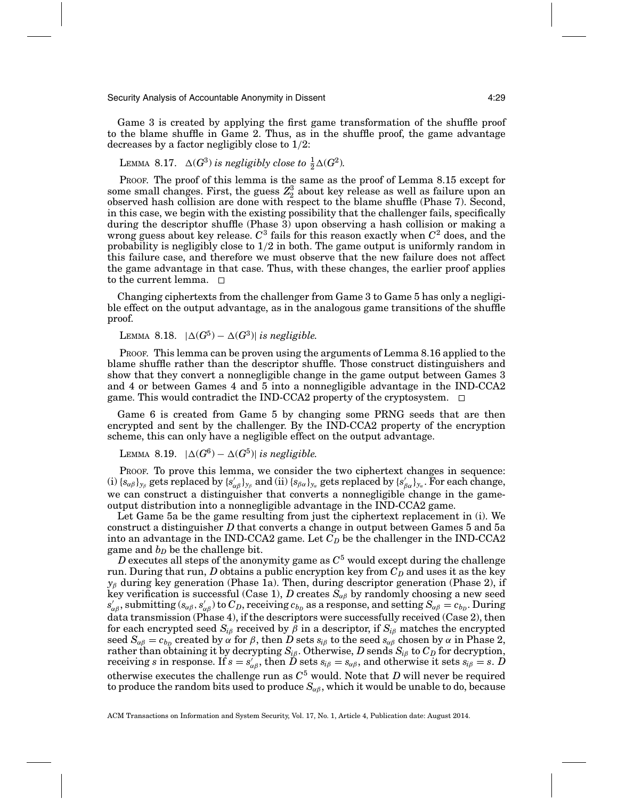Security Analysis of Accountable Anonymity in Dissent 4:29

Game 3 is created by applying the first game transformation of the shuffle proof to the blame shuffle in Game 2. Thus, as in the shuffle proof, the game advantage decreases by a factor negligibly close to 1/2:

LEMMA 8.17.  $\Delta(G^3)$  *is negligibly close to*  $\frac{1}{2}\Delta(G^2)$ *.* 

PROOF. The proof of this lemma is the same as the proof of Lemma 8.15 except for some small changes. First, the guess  $Z_2^3$  about key release as well as failure upon an observed hash collision are done with respect to the blame shuffle (Phase 7). Second, in this case, we begin with the existing possibility that the challenger fails, specifically during the descriptor shuffle (Phase 3) upon observing a hash collision or making a wrong guess about key release.  $C<sup>3</sup>$  fails for this reason exactly when  $C<sup>2</sup>$  does, and the probability is negligibly close to  $1/2$  in both. The game output is uniformly random in this failure case, and therefore we must observe that the new failure does not affect the game advantage in that case. Thus, with these changes, the earlier proof applies to the current lemma.  $\square$ 

Changing ciphertexts from the challenger from Game 3 to Game 5 has only a negligible effect on the output advantage, as in the analogous game transitions of the shuffle proof.

LEMMA 8.18.  $|\Delta(G^5) - \Delta(G^3)|$  *is negligible.* 

PROOF. This lemma can be proven using the arguments of Lemma 8.16 applied to the blame shuffle rather than the descriptor shuffle. Those construct distinguishers and show that they convert a nonnegligible change in the game output between Games 3 and 4 or between Games 4 and 5 into a nonnegligible advantage in the IND-CCA2 game. This would contradict the IND-CCA2 property of the cryptosystem.  $\Box$ 

Game 6 is created from Game 5 by changing some PRNG seeds that are then encrypted and sent by the challenger. By the IND-CCA2 property of the encryption scheme, this can only have a negligible effect on the output advantage.

LEMMA 8.19. 
$$
|\Delta(G^6) - \Delta(G^5)|
$$
 is negligible.

PROOF. To prove this lemma, we consider the two ciphertext changes in sequence: (i)  $\{s_{\alpha\beta}\}_{y_\beta}$  gets replaced by  $\{s'_{\alpha\beta}\}_{y_\beta}$  and (ii)  $\{s_{\beta\alpha}\}_{y_\alpha}$  gets replaced by  $\{s'_{\beta\alpha}\}_{y_\alpha}$ . For each change, we can construct a distinguisher that converts a nonnegligible change in the gameoutput distribution into a nonnegligible advantage in the IND-CCA2 game.

Let Game 5a be the game resulting from just the ciphertext replacement in (i). We construct a distinguisher *D* that converts a change in output between Games 5 and 5a into an advantage in the IND-CCA2 game. Let  $C_D$  be the challenger in the IND-CCA2 game and  $b<sub>D</sub>$  be the challenge bit.

*D* executes all steps of the anonymity game as  $C<sup>5</sup>$  would except during the challenge run. During that run,  $D$  obtains a public encryption key from  $C_D$  and uses it as the key  $y<sub>\beta</sub>$  during key generation (Phase 1a). Then, during descriptor generation (Phase 2), if key verification is successful (Case 1), *D* creates  $S_{\alpha\beta}$  by randomly choosing a new seed  $s'_{\alpha\beta}$ , submitting  $(s_{\alpha\beta},s'_{\alpha\beta})$  to  $C_D$ , receiving  $c_{b_D}$  as a response, and setting  $S_{\alpha\beta}=c_{b_D}.$  During data transmission (Phase 4), if the descriptors were successfully received (Case 2), then for each encrypted seed  $S_{i\beta}$  received by  $\beta$  in a descriptor, if  $S_{i\beta}$  matches the encrypted seed  $S_{\alpha\beta} = c_{bn}$  created by  $\alpha$  for  $\beta$ , then *D* sets  $s_{i\beta}$  to the seed  $s_{\alpha\beta}$  chosen by  $\alpha$  in Phase 2, rather than obtaining it by decrypting  $S_{i\beta}$ . Otherwise,  $D$  sends  $S_{i\beta}$  to  $C_D$  for decryption,  $\text{receiving } s \text{ in response. If } s = s'_{\alpha\beta}, \text{ then } D \text{ sets } s_{i\beta} = s_{\alpha\beta}, \text{ and otherwise it sets } s_{i\beta} = s. D$ otherwise executes the challenge run as  $C^5$  would. Note that  $D$  will never be required to produce the random bits used to produce  $S_{\alpha\beta}$ , which it would be unable to do, because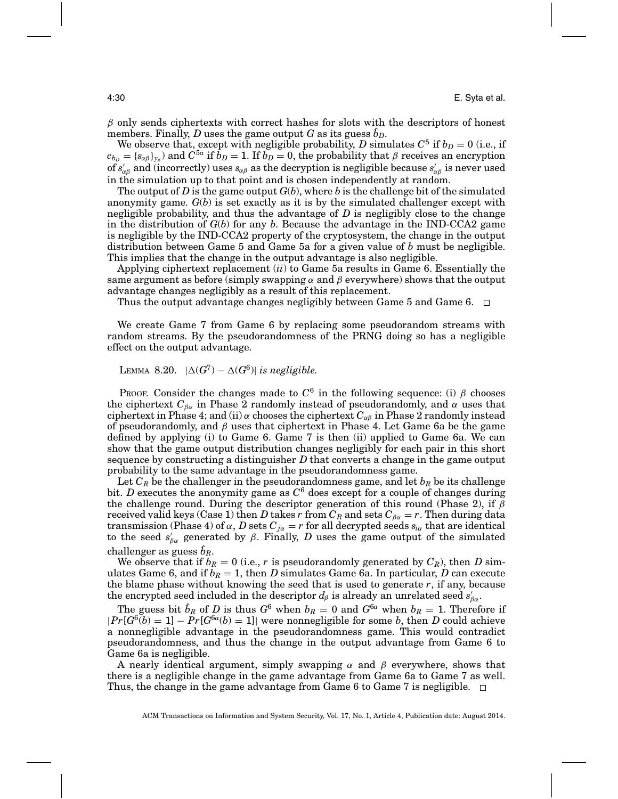$\beta$  only sends ciphertexts with correct hashes for slots with the descriptors of honest members. Finally, *D* uses the game output *G* as its guess  $\delta_D$ .

We observe that, except with negligible probability,  $D$  simulates  $C^5$  if  $b_D=0$  (i.e., if  $c_{b_D} = {s_{\alpha\beta}}_{y_\beta}$ ) and  $C^{5a}$  if  $\bar{b}_D = 1$ . If  $\bar{b}_D = 0$ , the probability that  $\beta$  receives an encryption of  $s'_{\alpha\beta}$  and (incorrectly) uses  $s_{\alpha\beta}$  as the decryption is negligible because  $s'_{\alpha\beta}$  is never used in the simulation up to that point and is chosen independently at random.

The output of *D* is the game output *G*(*b*), where *b* is the challenge bit of the simulated anonymity game.  $G(b)$  is set exactly as it is by the simulated challenger except with negligible probability, and thus the advantage of *D* is negligibly close to the change in the distribution of  $G(b)$  for any *b*. Because the advantage in the IND-CCA2 game is negligible by the IND-CCA2 property of the cryptosystem, the change in the output distribution between Game 5 and Game 5a for a given value of *b* must be negligible. This implies that the change in the output advantage is also negligible.

Applying ciphertext replacement (*ii*) to Game 5a results in Game 6. Essentially the same argument as before (simply swapping  $\alpha$  and  $\beta$  everywhere) shows that the output advantage changes negligibly as a result of this replacement.

Thus the output advantage changes negligibly between Game 5 and Game 6.  $\Box$ 

We create Game 7 from Game 6 by replacing some pseudorandom streams with random streams. By the pseudorandomness of the PRNG doing so has a negligible effect on the output advantage.

LEMMA 8.20.  $|\Delta(G^7) - \Delta(G^6)|$  *is negligible.* 

PROOF. Consider the changes made to  $C^6$  in the following sequence: (i)  $\beta$  chooses the ciphertext  $C_{\beta\alpha}$  in Phase 2 randomly instead of pseudorandomly, and  $\alpha$  uses that ciphertext in Phase 4; and (ii)  $\alpha$  chooses the ciphertext  $C_{\alpha\beta}$  in Phase 2 randomly instead of pseudorandomly, and  $\beta$  uses that ciphertext in Phase 4. Let Game 6a be the game defined by applying (i) to Game 6. Game 7 is then (ii) applied to Game 6a. We can show that the game output distribution changes negligibly for each pair in this short sequence by constructing a distinguisher *D* that converts a change in the game output probability to the same advantage in the pseudorandomness game.

Let  $C_R$  be the challenger in the pseudorandomness game, and let  $b_R$  be its challenge bit. *D* executes the anonymity game as *C*<sup>6</sup> does except for a couple of changes during the challenge round. During the descriptor generation of this round (Phase 2), if  $\beta$ received valid keys (Case 1) then *D* takes *r* from  $C_R$  and sets  $C_{\beta\alpha} = r$ . Then during data transmission (Phase 4) of  $\alpha$ , *D* sets  $C_{j\alpha} = r$  for all decrypted seeds  $s_{i\alpha}$  that are identical to the seed  $s'_{\beta\alpha}$  generated by  $\beta$ . Finally, *D* uses the game output of the simulated challenger as guess  $b_R$ .

We observe that if  $b_R = 0$  (i.e., r is pseudorandomly generated by  $C_R$ ), then D simulates Game 6, and if  $b_R = 1$ , then *D* simulates Game 6a. In particular, *D* can execute the blame phase without knowing the seed that is used to generate *r*, if any, because the encrypted seed included in the descriptor  $d_{\beta}$  is already an unrelated seed  $s'_{\beta\alpha}$ .

The guess bit  $\hat{b}_R$  of *D* is thus  $G^6$  when  $b_R = 0$  and  $G^{6a}$  when  $b_R = 1$ . Therefore if  $|Pr[G^6(b) = 1] - Pr[G^{6a}(b) = 1]|$  were nonnegligible for some *b*, then *D* could achieve a nonnegligible advantage in the pseudorandomness game. This would contradict pseudorandomness, and thus the change in the output advantage from Game 6 to Game 6a is negligible.

A nearly identical argument, simply swapping  $\alpha$  and  $\beta$  everywhere, shows that there is a negligible change in the game advantage from Game 6a to Game 7 as well. Thus, the change in the game advantage from Game 6 to Game 7 is negligible.  $\square$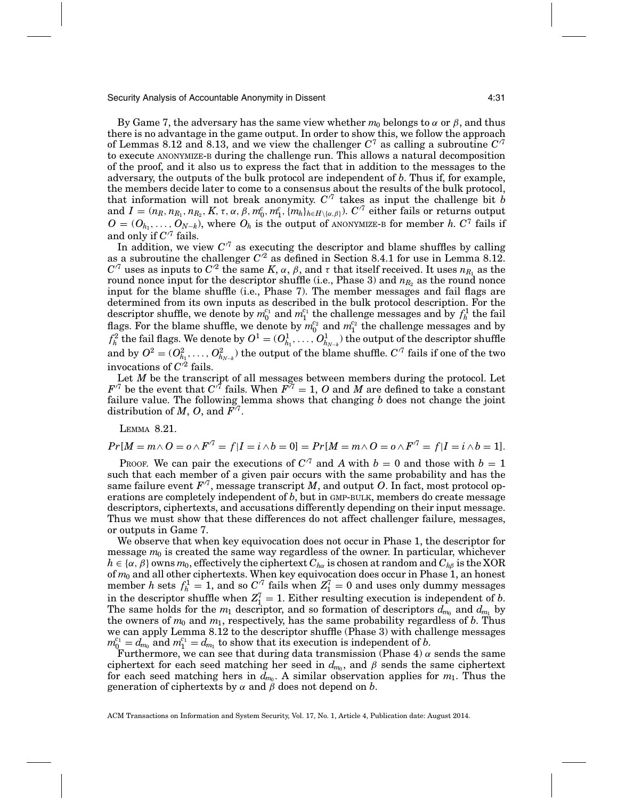Security Analysis of Accountable Anonymity in Dissent 4:31 4:31

By Game 7, the adversary has the same view whether  $m_0$  belongs to  $\alpha$  or  $\beta$ , and thus there is no advantage in the game output. In order to show this, we follow the approach of Lemmas 8.12 and 8.13, and we view the challenger  $C<sup>7</sup>$  as calling a subroutine  $C<sup>7</sup>$ to execute ANONYMIZE-B during the challenge run. This allows a natural decomposition of the proof, and it also us to express the fact that in addition to the messages to the adversary, the outputs of the bulk protocol are independent of *b*. Thus if, for example, the members decide later to come to a consensus about the results of the bulk protocol, that information will not break anonymity.  $C<sup>7</sup>$  takes as input the challenge bit *b* and  $I = (n_R, n_{R_1}, n_{R_2}, K, \tau, \alpha, \beta, m_0^c, m_1^c, \{m_h\}_{h \in H \setminus {\{\alpha, \beta\}}})$ .  $C^{7}$  either fails or returns output  $O = (O_{h_1}, \ldots, O_{N-k})$ , where  $O_h$  is the output of ANONYMIZE-B for member *h*.  $C^7$  fails if and only if *C*-<sup>7</sup> fails.

In addition, we view  $C^7$  as executing the descriptor and blame shuffles by calling as a subroutine the challenger  $C^2$  as defined in Section 8.4.1 for use in Lemma 8.12. *C*<sup>7</sup> uses as inputs to *C*<sup>2</sup> the same *K*,  $\alpha$ ,  $\beta$ , and  $\tau$  that itself received. It uses  $n_{R_1}$  as the round nonce input for the descriptor shuffle (i.e., Phase 3) and  $n_{R_2}$  as the round nonce input for the blame shuffle (i.e., Phase 7). The member messages and fail flags are determined from its own inputs as described in the bulk protocol description. For the descriptor shuffle, we denote by  $m_0^{c_1}$  and  $m_1^{c_1}$  the challenge messages and by  $f_h^1$  the fail flags. For the blame shuffle, we denote by  $m_0^{c_2}$  and  $m_1^{c_2}$  the challenge messages and by  $f_h^2$  the fail flags. We denote by  $O^1 = (O_{h_1}^1,\ldots,O_{h_{N-k}}^1)$  the output of the descriptor shuffle and by  $O^2 = (O_{h_1}^2, \ldots, O_{h_{N-k}}^2)$  the output of the blame shuffle.  $C'^7$  fails if one of the two invocations of *C*-<sup>2</sup> fails.

Let *M* be the transcript of all messages between members during the protocol. Let  $F<sup>7</sup>$  be the event that  $C<sup>7</sup>$  fails. When  $F<sup>7</sup> = 1$ , O and M are defined to take a constant failure value. The following lemma shows that changing *b* does not change the joint distribution of  $M$ ,  $O$ , and  $\overline{F}$ <sup> $\prime$ </sup>.

LEMMA 8.21.

$$
Pr[M = m \wedge 0 = o \wedge F^{\prime 7} = f | I = i \wedge b = 0] = Pr[M = m \wedge 0 = o \wedge F^{\prime 7} = f | I = i \wedge b = 1].
$$

PROOF. We can pair the executions of  $C^{7}$  and *A* with  $b = 0$  and those with  $b = 1$ such that each member of a given pair occurs with the same probability and has the same failure event  $F^{\prime 7}$ , message transcript *M*, and output *O*. In fact, most protocol operations are completely independent of *b*, but in GMP-BULK, members do create message descriptors, ciphertexts, and accusations differently depending on their input message. Thus we must show that these differences do not affect challenger failure, messages, or outputs in Game 7.

We observe that when key equivocation does not occur in Phase 1, the descriptor for message  $m_0$  is created the same way regardless of the owner. In particular, whichever  $h \in {\{\alpha, \beta\}}$  owns  $m_0$ , effectively the ciphertext  $C_{h\alpha}$  is chosen at random and  $C_{h\beta}$  is the XOR of *m*<sup>0</sup> and all other ciphertexts. When key equivocation does occur in Phase 1, an honest member *h* sets  $f_h^1 = 1$ , and so  $C^7$  fails when  $Z_1^7 = 0$  and uses only dummy messages in the descriptor shuffle when  $Z_1^7 = 1$ . Either resulting execution is independent of *b*. The same holds for the  $m_1$  descriptor, and so formation of descriptors  $d_{m_0}$  and  $d_{m_1}$  by the owners of  $m_0$  and  $m_1$ , respectively, has the same probability regardless of *b*. Thus we can apply Lemma 8.12 to the descriptor shuffle (Phase 3) with challenge messages  $m_0^{c_1} = d_{m_0}$  and  $m_1^{c_1} = d_{m_1}$  to show that its execution is independent of *b*.

Furthermore, we can see that during data transmission (Phase 4)  $\alpha$  sends the same ciphertext for each seed matching her seed in  $d_{m_0}$ , and  $\beta$  sends the same ciphertext for each seed matching hers in  $d_{m_0}$ . A similar observation applies for  $m_1$ . Thus the generation of ciphertexts by  $\alpha$  and  $\beta$  does not depend on *b*.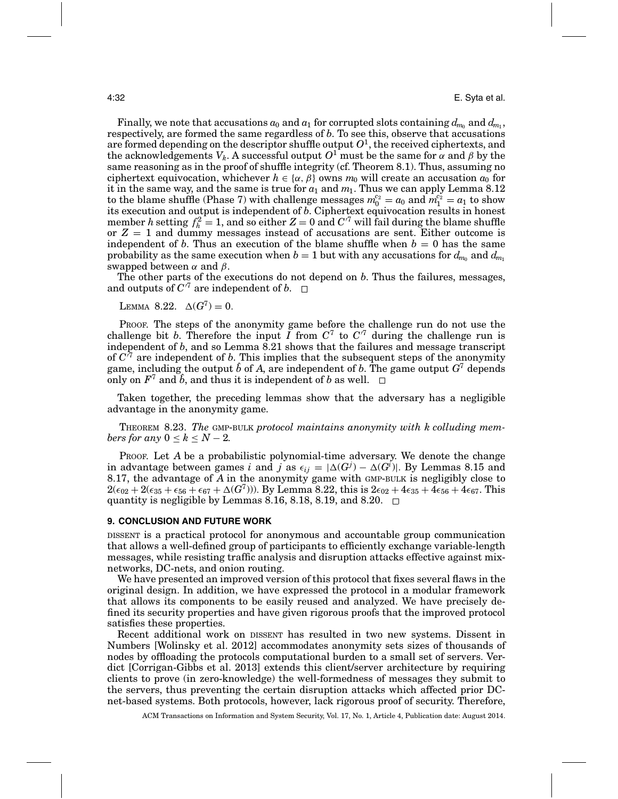Finally, we note that accusations  $a_0$  and  $a_1$  for corrupted slots containing  $d_{m_0}$  and  $d_{m_1}$ , respectively, are formed the same regardless of *b*. To see this, observe that accusations are formed depending on the descriptor shuffle output  $O<sup>1</sup>$ , the received ciphertexts, and the acknowledgements  $V_k$ . A successful output  $O^1$  must be the same for  $\alpha$  and  $\beta$  by the same reasoning as in the proof of shuffle integrity (cf. Theorem 8.1). Thus, assuming no ciphertext equivocation, whichever  $h \in \{\alpha, \beta\}$  owns  $m_0$  will create an accusation  $a_0$  for it in the same way, and the same is true for  $a_1$  and  $m_1$ . Thus we can apply Lemma 8.12 to the blame shuffle (Phase 7) with challenge messages  $m_0^{c_2} = a_0$  and  $m_1^{c_2} = a_1$  to show its execution and output is independent of *b*. Ciphertext equivocation results in honest member *h* setting  $f_h^2 = 1$ , and so either  $Z = 0$  and  $C^7$  will fail during the blame shuffle or  $Z = 1$  and dummy messages instead of accusations are sent. Either outcome is independent of *b*. Thus an execution of the blame shuffle when  $b = 0$  has the same probability as the same execution when  $b = 1$  but with any accusations for  $d_{m_0}$  and  $d_{m_1}$ swapped between  $\alpha$  and  $\beta$ .

The other parts of the executions do not depend on *b*. Thus the failures, messages, and outputs of *C*-<sup>7</sup> are independent of *b*.

LEMMA 8.22.  $\Delta(G^7) = 0$ .

PROOF. The steps of the anonymity game before the challenge run do not use the challenge bit *b*. Therefore the input  $\overline{I}$  from  $C^7$  to  $C^7$  during the challenge run is independent of *b*, and so Lemma 8.21 shows that the failures and message transcript of  $C^7$  are independent of *b*. This implies that the subsequent steps of the anonymity game, including the output b of A, are independent of b. The game output  $G<sup>7</sup>$  depends only on  $F^7$  and  $\bar{b}$ , and thus it is independent of *b* as well.  $\Box$ 

Taken together, the preceding lemmas show that the adversary has a negligible advantage in the anonymity game.

THEOREM 8.23. *The* GMP-BULK *protocol maintains anonymity with k colluding members for any*  $0 \leq k \leq N-2$ .

Proof. Let *A* be a probabilistic polynomial-time adversary. We denote the change in advantage between games *i* and *j* as  $\epsilon_{ij} = |\Delta(G^{j}) - \Delta(G^{i})|$ . By Lemmas 8.15 and 8.17, the advantage of *A* in the anonymity game with GMP-BULK is negligibly close to  $2(\epsilon_{02} + 2(\epsilon_{35} + \epsilon_{56} + \epsilon_{67} + \Delta(G^7)))$ . By Lemma 8.22, this is  $2\epsilon_{02} + 4\epsilon_{35} + 4\epsilon_{56} + 4\epsilon_{67}$ . This quantity is negligible by Lemmas 8.16, 8.18, 8.19, and 8.20.  $\Box$ 

#### **9. CONCLUSION AND FUTURE WORK**

DISSENT is a practical protocol for anonymous and accountable group communication that allows a well-defined group of participants to efficiently exchange variable-length messages, while resisting traffic analysis and disruption attacks effective against mixnetworks, DC-nets, and onion routing.

We have presented an improved version of this protocol that fixes several flaws in the original design. In addition, we have expressed the protocol in a modular framework that allows its components to be easily reused and analyzed. We have precisely defined its security properties and have given rigorous proofs that the improved protocol satisfies these properties.

Recent additional work on DISSENT has resulted in two new systems. Dissent in Numbers [Wolinsky et al. 2012] accommodates anonymity sets sizes of thousands of nodes by offloading the protocols computational burden to a small set of servers. Verdict [Corrigan-Gibbs et al. 2013] extends this client/server architecture by requiring clients to prove (in zero-knowledge) the well-formedness of messages they submit to the servers, thus preventing the certain disruption attacks which affected prior DCnet-based systems. Both protocols, however, lack rigorous proof of security. Therefore,

ACM Transactions on Information and System Security, Vol. 17, No. 1, Article 4, Publication date: August 2014.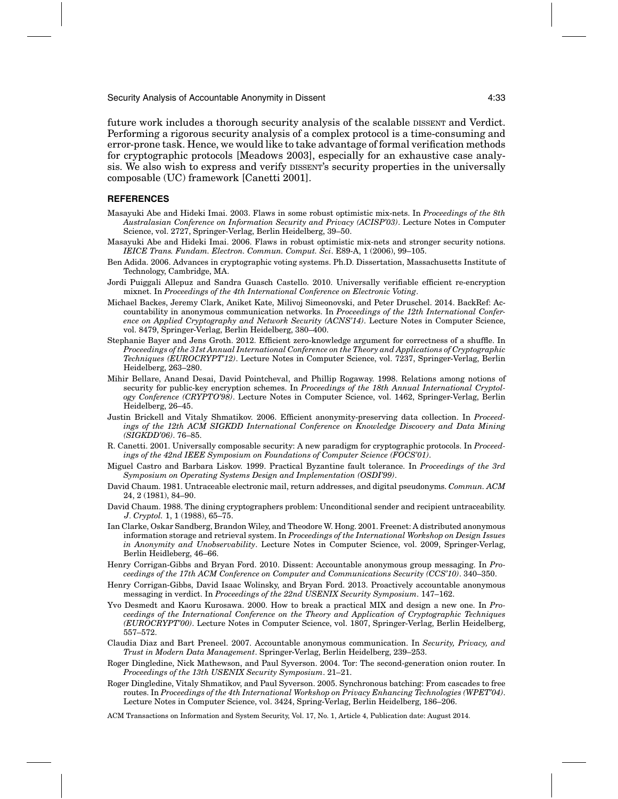Security Analysis of Accountable Anonymity in Dissent 4:33 4:33

future work includes a thorough security analysis of the scalable DISSENT and Verdict. Performing a rigorous security analysis of a complex protocol is a time-consuming and error-prone task. Hence, we would like to take advantage of formal verification methods for cryptographic protocols [Meadows 2003], especially for an exhaustive case analysis. We also wish to express and verify DISSENT's security properties in the universally composable (UC) framework [Canetti 2001].

# **REFERENCES**

- Masayuki Abe and Hideki Imai. 2003. Flaws in some robust optimistic mix-nets. In *Proceedings of the 8th Australasian Conference on Information Security and Privacy (ACISP'03)*. Lecture Notes in Computer Science, vol. 2727, Springer-Verlag, Berlin Heidelberg, 39–50.
- Masayuki Abe and Hideki Imai. 2006. Flaws in robust optimistic mix-nets and stronger security notions. *IEICE Trans. Fundam. Electron. Commun. Comput. Sci*. E89-A, 1 (2006), 99–105.
- Ben Adida. 2006. Advances in cryptographic voting systems. Ph.D. Dissertation, Massachusetts Institute of Technology, Cambridge, MA.
- Jordi Puiggali Allepuz and Sandra Guasch Castello. 2010. Universally verifiable efficient re-encryption mixnet. In *Proceedings of the 4th International Conference on Electronic Voting*.
- Michael Backes, Jeremy Clark, Aniket Kate, Milivoj Simeonovski, and Peter Druschel. 2014. BackRef: Accountability in anonymous communication networks. In *Proceedings of the 12th International Conference on Applied Cryptography and Network Security (ACNS'14)*. Lecture Notes in Computer Science, vol. 8479, Springer-Verlag, Berlin Heidelberg, 380–400.
- Stephanie Bayer and Jens Groth. 2012. Efficient zero-knowledge argument for correctness of a shuffle. In *Proceedings of the 31st Annual International Conference on the Theory and Applications of Cryptographic Techniques (EUROCRYPT'12)*. Lecture Notes in Computer Science, vol. 7237, Springer-Verlag, Berlin Heidelberg, 263–280.
- Mihir Bellare, Anand Desai, David Pointcheval, and Phillip Rogaway. 1998. Relations among notions of security for public-key encryption schemes. In *Proceedings of the 18th Annual International Cryptology Conference (CRYPTO'98)*. Lecture Notes in Computer Science, vol. 1462, Springer-Verlag, Berlin Heidelberg, 26–45.
- Justin Brickell and Vitaly Shmatikov. 2006. Efficient anonymity-preserving data collection. In *Proceedings of the 12th ACM SIGKDD International Conference on Knowledge Discovery and Data Mining (SIGKDD'06)*. 76–85.
- R. Canetti. 2001. Universally composable security: A new paradigm for cryptographic protocols. In *Proceedings of the 42nd IEEE Symposium on Foundations of Computer Science (FOCS'01)*.
- Miguel Castro and Barbara Liskov. 1999. Practical Byzantine fault tolerance. In *Proceedings of the 3rd Symposium on Operating Systems Design and Implementation (OSDI'99)*.
- David Chaum. 1981. Untraceable electronic mail, return addresses, and digital pseudonyms. *Commun. ACM* 24, 2 (1981), 84–90.
- David Chaum. 1988. The dining cryptographers problem: Unconditional sender and recipient untraceability. *J*. *Cryptol.* 1, 1 (1988), 65–75.
- Ian Clarke, Oskar Sandberg, Brandon Wiley, and Theodore W. Hong. 2001. Freenet: A distributed anonymous information storage and retrieval system. In *Proceedings of the International Workshop on Design Issues in Anonymity and Unobservability*. Lecture Notes in Computer Science, vol. 2009, Springer-Verlag, Berlin Heidleberg, 46–66.
- Henry Corrigan-Gibbs and Bryan Ford. 2010. Dissent: Accountable anonymous group messaging. In *Proceedings of the 17th ACM Conference on Computer and Communications Security (CCS'10)*. 340–350.
- Henry Corrigan-Gibbs, David Isaac Wolinsky, and Bryan Ford. 2013. Proactively accountable anonymous messaging in verdict. In *Proceedings of the 22nd USENIX Security Symposium*. 147–162.
- Yvo Desmedt and Kaoru Kurosawa. 2000. How to break a practical MIX and design a new one. In *Proceedings of the International Conference on the Theory and Application of Cryptographic Techniques (EUROCRYPT'00)*. Lecture Notes in Computer Science, vol. 1807, Springer-Verlag, Berlin Heidelberg, 557–572.
- Claudia Diaz and Bart Preneel. 2007. Accountable anonymous communication. In *Security, Privacy, and Trust in Modern Data Management*. Springer-Verlag, Berlin Heidelberg, 239–253.
- Roger Dingledine, Nick Mathewson, and Paul Syverson. 2004. Tor: The second-generation onion router. In *Proceedings of the 13th USENIX Security Symposium*. 21–21.
- Roger Dingledine, Vitaly Shmatikov, and Paul Syverson. 2005. Synchronous batching: From cascades to free routes. In *Proceedings of the 4th International Workshop on Privacy Enhancing Technologies (WPET'04)*. Lecture Notes in Computer Science, vol. 3424, Spring-Verlag, Berlin Heidelberg, 186–206.
- ACM Transactions on Information and System Security, Vol. 17, No. 1, Article 4, Publication date: August 2014.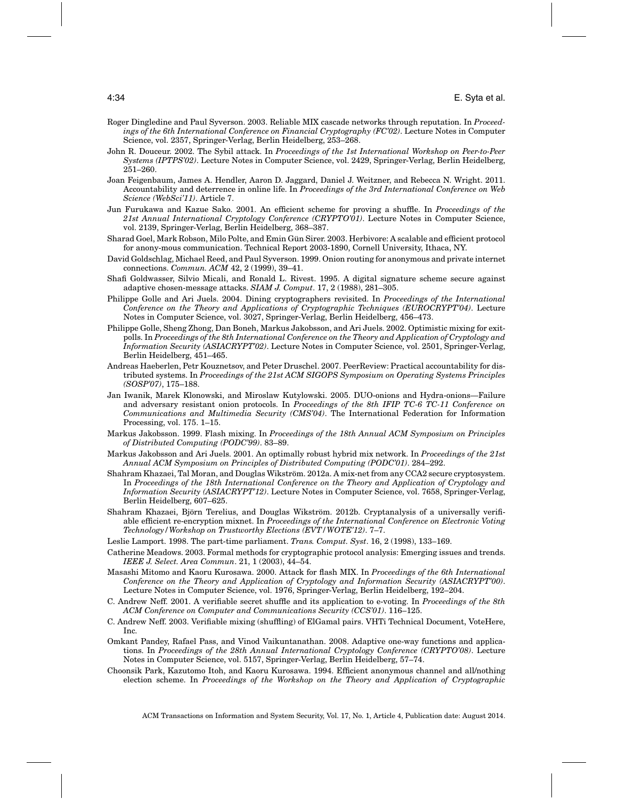- Roger Dingledine and Paul Syverson. 2003. Reliable MIX cascade networks through reputation. In *Proceedings of the 6th International Conference on Financial Cryptography (FC'02)*. Lecture Notes in Computer Science, vol. 2357, Springer-Verlag, Berlin Heidelberg, 253–268.
- John R. Douceur. 2002. The Sybil attack. In *Proceedings of the 1st International Workshop on Peer-to-Peer Systems (IPTPS'02)*. Lecture Notes in Computer Science, vol. 2429, Springer-Verlag, Berlin Heidelberg, 251–260.
- Joan Feigenbaum, James A. Hendler, Aaron D. Jaggard, Daniel J. Weitzner, and Rebecca N. Wright. 2011. Accountability and deterrence in online life. In *Proceedings of the 3rd International Conference on Web Science (WebSci'11)*. Article 7.
- Jun Furukawa and Kazue Sako. 2001. An efficient scheme for proving a shuffle. In *Proceedings of the 21st Annual International Cryptology Conference (CRYPTO'01)*. Lecture Notes in Computer Science, vol. 2139, Springer-Verlag, Berlin Heidelberg, 368–387.
- Sharad Goel, Mark Robson, Milo Polte, and Emin Gun Sirer. 2003. Herbivore: A scalable and efficient protocol ¨ for anony-mous communication. Technical Report 2003-1890, Cornell University, Ithaca, NY.
- David Goldschlag, Michael Reed, and Paul Syverson. 1999. Onion routing for anonymous and private internet connections. *Commun. ACM* 42, 2 (1999), 39–41.
- Shafi Goldwasser, Silvio Micali, and Ronald L. Rivest. 1995. A digital signature scheme secure against adaptive chosen-message attacks. *SIAM J. Comput*. 17, 2 (1988), 281–305.
- Philippe Golle and Ari Juels. 2004. Dining cryptographers revisited. In *Proceedings of the International Conference on the Theory and Applications of Cryptographic Techniques (EUROCRYPT'04)*. Lecture Notes in Computer Science, vol. 3027, Springer-Verlag, Berlin Heidelberg, 456–473.
- Philippe Golle, Sheng Zhong, Dan Boneh, Markus Jakobsson, and Ari Juels. 2002. Optimistic mixing for exitpolls. In *Proceedings of the 8th International Conference on the Theory and Application of Cryptology and Information Security (ASIACRYPT'02)*. Lecture Notes in Computer Science, vol. 2501, Springer-Verlag, Berlin Heidelberg, 451–465.
- Andreas Haeberlen, Petr Kouznetsov, and Peter Druschel. 2007. PeerReview: Practical accountability for distributed systems. In *Proceedings of the 21st ACM SIGOPS Symposium on Operating Systems Principles (SOSP'07)*, 175–188.
- Jan Iwanik, Marek Klonowski, and Miroslaw Kutylowski. 2005. DUO-onions and Hydra-onions—Failure and adversary resistant onion protocols. In *Proceedings of the 8th IFIP TC-6 TC-11 Conference on Communications and Multimedia Security (CMS'04)*. The International Federation for Information Processing, vol. 175. 1–15.
- Markus Jakobsson. 1999. Flash mixing. In *Proceedings of the 18th Annual ACM Symposium on Principles of Distributed Computing (PODC'99)*. 83–89.
- Markus Jakobsson and Ari Juels. 2001. An optimally robust hybrid mix network. In *Proceedings of the 21st Annual ACM Symposium on Principles of Distributed Computing (PODC'01)*. 284–292.
- Shahram Khazaei, Tal Moran, and Douglas Wikstrom. 2012a. A mix-net from any CCA2 secure cryptosystem. ¨ In *Proceedings of the 18th International Conference on the Theory and Application of Cryptology and Information Security (ASIACRYPT'12)*. Lecture Notes in Computer Science, vol. 7658, Springer-Verlag, Berlin Heidelberg, 607–625.
- Shahram Khazaei, Björn Terelius, and Douglas Wikström. 2012b. Cryptanalysis of a universally verifiable efficient re-encryption mixnet. In *Proceedings of the International Conference on Electronic Voting Technology/Workshop on Trustworthy Elections (EVT/WOTE'12)*. 7–7.
- Leslie Lamport. 1998. The part-time parliament. *Trans. Comput. Syst*. 16, 2 (1998), 133–169.
- Catherine Meadows. 2003. Formal methods for cryptographic protocol analysis: Emerging issues and trends. *IEEE J. Select. Area Commun*. 21, 1 (2003), 44–54.
- Masashi Mitomo and Kaoru Kurosawa. 2000. Attack for flash MIX. In *Proceedings of the 6th International Conference on the Theory and Application of Cryptology and Information Security (ASIACRYPT'00)*. Lecture Notes in Computer Science, vol. 1976, Springer-Verlag, Berlin Heidelberg, 192–204.
- C. Andrew Neff. 2001. A verifiable secret shuffle and its application to e-voting. In *Proceedings of the 8th ACM Conference on Computer and Communications Security (CCS'01)*. 116–125.
- C. Andrew Neff. 2003. Verifiable mixing (shuffling) of ElGamal pairs. VHTi Technical Document, VoteHere, Inc.
- Omkant Pandey, Rafael Pass, and Vinod Vaikuntanathan. 2008. Adaptive one-way functions and applications. In *Proceedings of the 28th Annual International Cryptology Conference (CRYPTO'08)*. Lecture Notes in Computer Science, vol. 5157, Springer-Verlag, Berlin Heidelberg, 57–74.
- Choonsik Park, Kazutomo Itoh, and Kaoru Kurosawa. 1994. Efficient anonymous channel and all/nothing election scheme. In *Proceedings of the Workshop on the Theory and Application of Cryptographic*